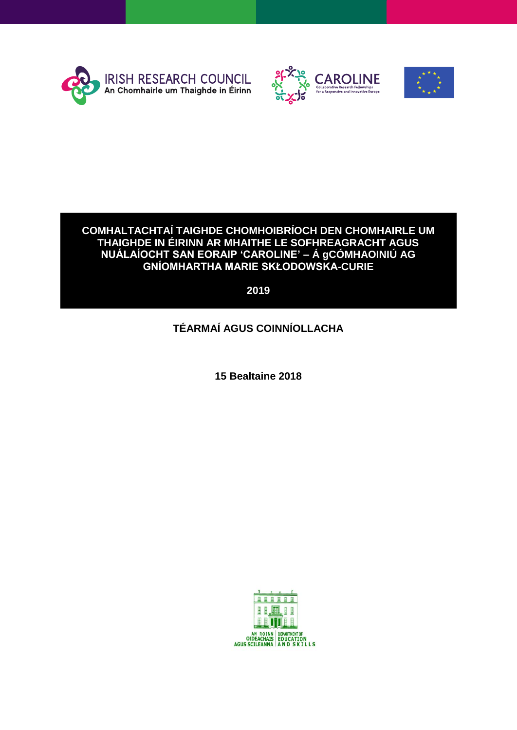





### **COMHALTACHTAÍ TAIGHDE CHOMHOIBRÍOCH DEN CHOMHAIRLE UM THAIGHDE IN ÉIRINN AR MHAITHE LE SOFHREAGRACHT AGUS NUÁLAÍOCHT SAN EORAIP 'CAROLINE' – Á gCÓMHAOINIÚ AG GNÍOMHARTHA MARIE SKŁODOWSKA-CURIE**

**2019**

# **TÉARMAÍ AGUS COINNÍOLLACHA**

**15 Bealtaine 2018**

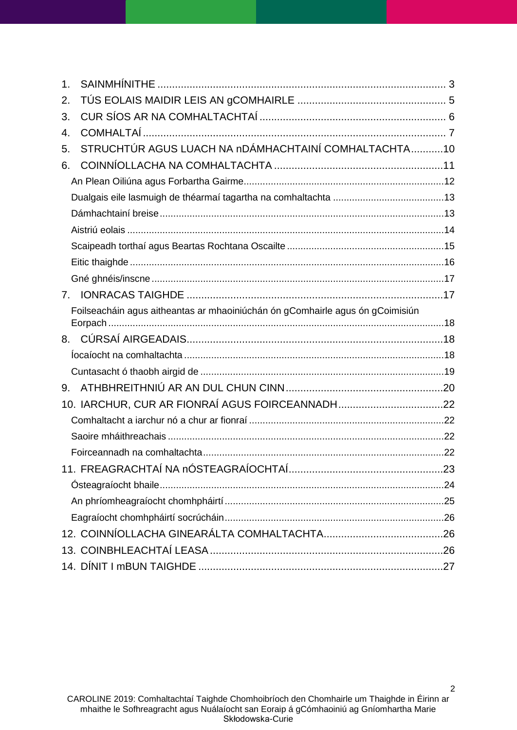| $\mathbf 1$ . |                                                                               |  |  |  |
|---------------|-------------------------------------------------------------------------------|--|--|--|
| 2.            |                                                                               |  |  |  |
| 3.            |                                                                               |  |  |  |
| 4.            |                                                                               |  |  |  |
| 5.            | STRUCHTÚR AGUS LUACH NA nDÁMHACHTAINÍ COMHALTACHTA10                          |  |  |  |
| 6.            |                                                                               |  |  |  |
|               |                                                                               |  |  |  |
|               |                                                                               |  |  |  |
|               |                                                                               |  |  |  |
|               |                                                                               |  |  |  |
|               |                                                                               |  |  |  |
|               |                                                                               |  |  |  |
|               |                                                                               |  |  |  |
| 7.            |                                                                               |  |  |  |
|               | Foilseacháin agus aitheantas ar mhaoiniúchán ón gComhairle agus ón gCoimisiún |  |  |  |
|               |                                                                               |  |  |  |
| 8.            |                                                                               |  |  |  |
|               |                                                                               |  |  |  |
|               |                                                                               |  |  |  |
| 9.            |                                                                               |  |  |  |
|               |                                                                               |  |  |  |
|               |                                                                               |  |  |  |
|               |                                                                               |  |  |  |
|               |                                                                               |  |  |  |
|               |                                                                               |  |  |  |
|               |                                                                               |  |  |  |
|               |                                                                               |  |  |  |
|               |                                                                               |  |  |  |
|               |                                                                               |  |  |  |
|               |                                                                               |  |  |  |
|               |                                                                               |  |  |  |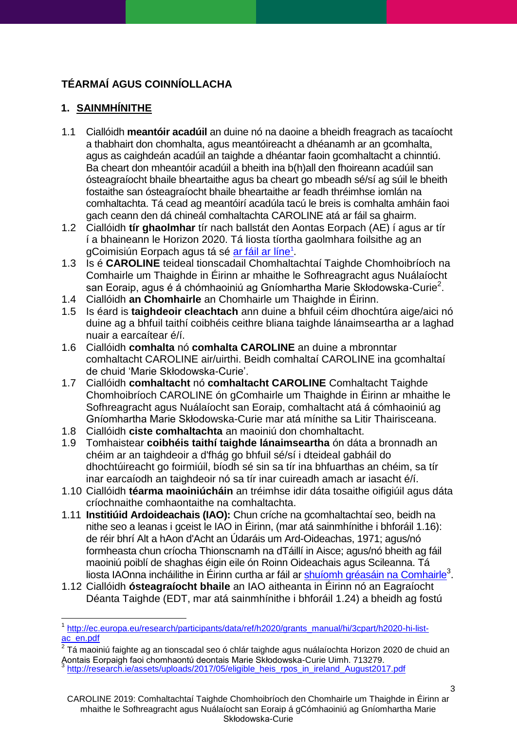# **TÉARMAÍ AGUS COINNÍOLLACHA**

# <span id="page-2-0"></span>**1. SAINMHÍNITHE**

 $\overline{a}$ 

- 1.1 Ciallóidh **meantóir acadúil** an duine nó na daoine a bheidh freagrach as tacaíocht a thabhairt don chomhalta, agus meantóireacht a dhéanamh ar an gcomhalta, agus as caighdeán acadúil an taighde a dhéantar faoin gcomhaltacht a chinntiú. Ba cheart don mheantóir acadúil a bheith ina b(h)all den fhoireann acadúil san ósteagraíocht bhaile bheartaithe agus ba cheart go mbeadh sé/sí ag súil le bheith fostaithe san ósteagraíocht bhaile bheartaithe ar feadh thréimhse iomlán na comhaltachta. Tá cead ag meantóirí acadúla tacú le breis is comhalta amháin faoi gach ceann den dá chineál comhaltachta CAROLINE atá ar fáil sa ghairm.
- 1.2 Ciallóidh **tír ghaolmhar** tír nach ballstát den Aontas Eorpach (AE) í agus ar tír í a bhaineann le Horizon 2020. Tá liosta tíortha gaolmhara foilsithe ag an gCoimisiún Eorpach agus tá sé <u>ar fáil ar líne<sup>1</sup></u>.
- 1.3 Is é **CAROLINE** teideal tionscadail Chomhaltachtaí Taighde Chomhoibríoch na Comhairle um Thaighde in Éirinn ar mhaithe le Sofhreagracht agus Nuálaíocht san Eoraip, agus é á chómhaoiniú ag Gníomhartha Marie Skłodowska-Curie $^2$ .
- 1.4 Ciallóidh **an Chomhairle** an Chomhairle um Thaighde in Éirinn.
- 1.5 Is éard is **taighdeoir cleachtach** ann duine a bhfuil céim dhochtúra aige/aici nó duine ag a bhfuil taithí coibhéis ceithre bliana taighde lánaimseartha ar a laghad nuair a earcaítear é/í.
- 1.6 Ciallóidh **comhalta** nó **comhalta CAROLINE** an duine a mbronntar comhaltacht CAROLINE air/uirthi. Beidh comhaltaí CAROLINE ina gcomhaltaí de chuid 'Marie Skłodowska-Curie'.
- 1.7 Ciallóidh **comhaltacht** nó **comhaltacht CAROLINE** Comhaltacht Taighde Chomhoibríoch CAROLINE ón gComhairle um Thaighde in Éirinn ar mhaithe le Sofhreagracht agus Nuálaíocht san Eoraip, comhaltacht atá á cómhaoiniú ag Gníomhartha Marie Skłodowska-Curie mar atá mínithe sa Litir Thairisceana.
- 1.8 Ciallóidh **ciste comhaltachta** an maoiniú don chomhaltacht.
- 1.9 Tomhaistear **coibhéis taithí taighde lánaimseartha** ón dáta a bronnadh an chéim ar an taighdeoir a d'fhág go bhfuil sé/sí i dteideal gabháil do dhochtúireacht go foirmiúil, bíodh sé sin sa tír ina bhfuarthas an chéim, sa tír inar earcaíodh an taighdeoir nó sa tír inar cuireadh amach ar iasacht é/í.
- 1.10 Ciallóidh **téarma maoiniúcháin** an tréimhse idir dáta tosaithe oifigiúil agus dáta críochnaithe comhaontaithe na comhaltachta.
- <span id="page-2-1"></span>1.11 **Institiúid Ardoideachais (IAO):** Chun críche na gcomhaltachtaí seo, beidh na nithe seo a leanas i gceist le IAO in Éirinn, (mar atá sainmhínithe i bhforáil [1.16\)](#page-3-0): de réir bhrí Alt a hAon d'Acht an Údaráis um Ard-Oideachas, 1971; agus/nó formheasta chun críocha Thionscnamh na dTáillí in Aisce; agus/nó bheith ag fáil maoiniú poiblí de shaghas éigin eile ón Roinn Oideachais agus Scileanna. Tá liosta IAOnna incháilithe in Éirinn curtha ar fáil ar [shuíomh gréasáin na Comhairle](http://research.ie/assets/uploads/2017/05/eligible_heis_rpos_in_ireland_August2017.pdf)<sup>3</sup>.
- 1.12 Ciallóidh **ósteagraíocht bhaile** an IAO aitheanta in Éirinn nó an Eagraíocht Déanta Taighde (EDT, mar atá sainmhínithe i bhforáil [1.24\)](#page-4-1) a bheidh ag fostú

<sup>&</sup>lt;sup>1</sup> [http://ec.europa.eu/research/participants/data/ref/h2020/grants\\_manual/hi/3cpart/h2020-hi-list](http://ec.europa.eu/research/participants/data/ref/h2020/grants_manual/hi/3cpart/h2020-hi-list-ac_en.pdf)[ac\\_en.pdf](http://ec.europa.eu/research/participants/data/ref/h2020/grants_manual/hi/3cpart/h2020-hi-list-ac_en.pdf)

 $^{\text{2}}$  Tá maoiniú faighte ag an tionscadal seo ó chlár taighde agus nuálaíochta Horizon 2020 de chuid an $\,$ Aontais Eorpaigh faoi chomhaontú deontais Marie Skłodowska-Curie Uimh. 713279.<br><sup>3</sup> http://seserch.js/sesets/unlaads/2047/05/sligible, heia. rase in. ireland. August201 [http://research.ie/assets/uploads/2017/05/eligible\\_heis\\_rpos\\_in\\_ireland\\_August2017.pdf](http://research.ie/assets/uploads/2017/05/eligible_heis_rpos_in_ireland_August2017.pdf)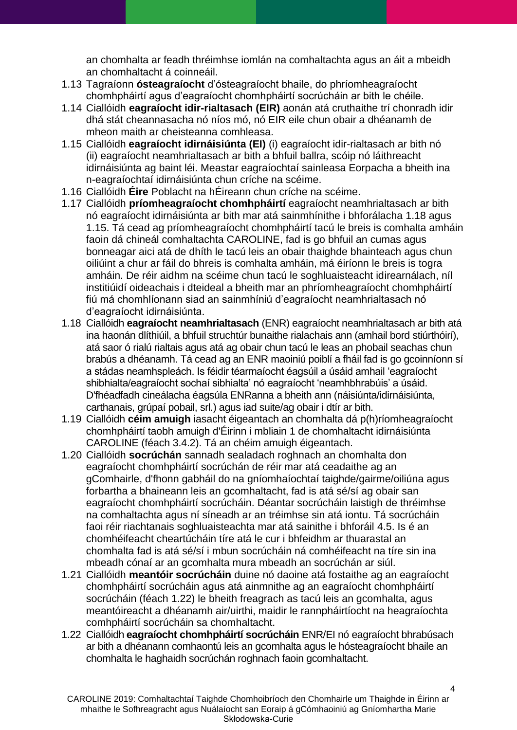an chomhalta ar feadh thréimhse iomlán na comhaltachta agus an áit a mbeidh an chomhaltacht á coinneáil.

- 1.13 Tagraíonn **ósteagraíocht** d'ósteagraíocht bhaile, do phríomheagraíocht chomhpháirtí agus d'eagraíocht chomhpháirtí socrúcháin ar bith le chéile.
- 1.14 Ciallóidh **eagraíocht idir-rialtasach (EIR)** aonán atá cruthaithe trí chonradh idir dhá stát cheannasacha nó níos mó, nó EIR eile chun obair a dhéanamh de mheon maith ar cheisteanna comhleasa.
- <span id="page-3-2"></span>1.15 Ciallóidh **eagraíocht idirnáisiúnta (EI)** (i) eagraíocht idir-rialtasach ar bith nó (ii) eagraíocht neamhrialtasach ar bith a bhfuil ballra, scóip nó láithreacht idirnáisiúnta ag baint léi. Meastar eagraíochtaí sainleasa Eorpacha a bheith ina n-eagraíochtaí idirnáisiúnta chun críche na scéime.
- <span id="page-3-0"></span>1.16 Ciallóidh **Éire** Poblacht na hÉireann chun críche na scéime.
- 1.17 Ciallóidh **príomheagraíocht chomhpháirtí** eagraíocht neamhrialtasach ar bith nó eagraíocht idirnáisiúnta ar bith mar atá sainmhínithe i bhforálacha [1.18](#page-3-1) agus [1.15.](#page-3-2) Tá cead ag príomheagraíocht chomhpháirtí tacú le breis is comhalta amháin faoin dá chineál comhaltachta CAROLINE, fad is go bhfuil an cumas agus bonneagar aici atá de dhíth le tacú leis an obair thaighde bhainteach agus chun oiliúint a chur ar fáil do bhreis is comhalta amháin, má éiríonn le breis is togra amháin. De réir aidhm na scéime chun tacú le soghluaisteacht idirearnálach, níl institiúidí oideachais i dteideal a bheith mar an phríomheagraíocht chomhpháirtí fiú má chomhlíonann siad an sainmhíniú d'eagraíocht neamhrialtasach nó d'eagraíocht idirnáisiúnta.
- <span id="page-3-1"></span>1.18 Ciallóidh **eagraíocht neamhrialtasach** (ENR) eagraíocht neamhrialtasach ar bith atá ina haonán dlíthiúil, a bhfuil struchtúr bunaithe rialachais ann (amhail bord stiúrthóirí), atá saor ó rialú rialtais agus atá ag obair chun tacú le leas an phobail seachas chun brabús a dhéanamh. Tá cead ag an ENR maoiniú poiblí a fháil fad is go gcoinníonn sí a stádas neamhspleách. Is féidir téarmaíocht éagsúil a úsáid amhail 'eagraíocht shibhialta/eagraíocht sochaí sibhialta' nó eagraíocht 'neamhbhrabúis' a úsáid. D'fhéadfadh cineálacha éagsúla ENRanna a bheith ann (náisiúnta/idirnáisiúnta, carthanais, grúpaí pobail, srl.) agus iad suite/ag obair i dtír ar bith.
- 1.19 Ciallóidh **céim amuigh** iasacht éigeantach an chomhalta dá p(h)ríomheagraíocht chomhpháirtí taobh amuigh d'Éirinn i mbliain 1 de chomhaltacht idirnáisiúnta CAROLINE (féach [3.4.2\)](#page-6-1). Tá an chéim amuigh éigeantach.
- <span id="page-3-4"></span>1.20 Ciallóidh **socrúchán** sannadh sealadach roghnach an chomhalta don eagraíocht chomhpháirtí socrúchán de réir mar atá ceadaithe ag an gComhairle, d'fhonn gabháil do na gníomhaíochtaí taighde/gairme/oiliúna agus forbartha a bhaineann leis an gcomhaltacht, fad is atá sé/sí ag obair san eagraíocht chomhpháirtí socrúcháin. Déantar socrúcháin laistigh de thréimhse na comhaltachta agus ní síneadh ar an tréimhse sin atá iontu. Tá socrúcháin faoi réir riachtanais soghluaisteachta mar atá sainithe i bhforáil [4.5.](#page-7-0) Is é an chomhéifeacht cheartúcháin tíre atá le cur i bhfeidhm ar thuarastal an chomhalta fad is atá sé/sí i mbun socrúcháin ná comhéifeacht na tíre sin ina mbeadh cónaí ar an gcomhalta mura mbeadh an socrúchán ar siúl.
- 1.21 Ciallóidh **meantóir socrúcháin** duine nó daoine atá fostaithe ag an eagraíocht chomhpháirtí socrúcháin agus atá ainmnithe ag an eagraíocht chomhpháirtí socrúcháin (féach [1.22\)](#page-3-3) le bheith freagrach as tacú leis an gcomhalta, agus meantóireacht a dhéanamh air/uirthi, maidir le rannpháirtíocht na heagraíochta comhpháirtí socrúcháin sa chomhaltacht.
- <span id="page-3-3"></span>1.22 Ciallóidh **eagraíocht chomhpháirtí socrúcháin** ENR/EI nó eagraíocht bhrabúsach ar bith a dhéanann comhaontú leis an gcomhalta agus le hósteagraíocht bhaile an chomhalta le haghaidh socrúchán roghnach faoin gcomhaltacht.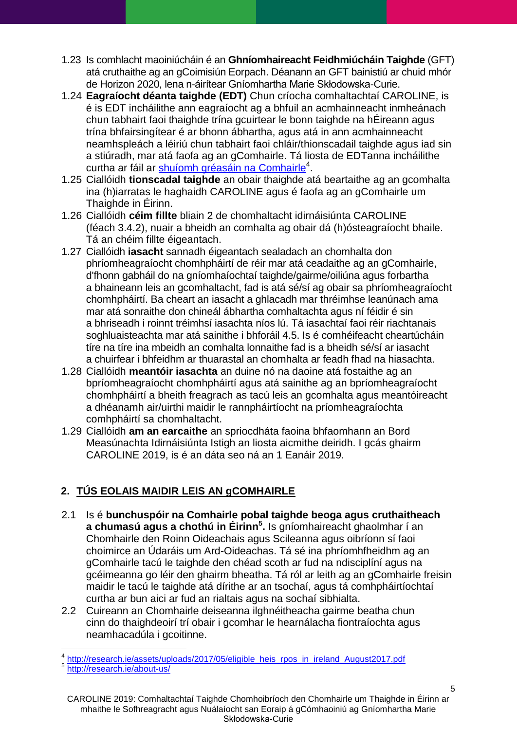- 1.23 Is comhlacht maoiniúcháin é an **Ghníomhaireacht Feidhmiúcháin Taighde** (GFT) atá cruthaithe ag an gCoimisiún Eorpach. Déanann an GFT bainistiú ar chuid mhór de Horizon 2020, lena n-áirítear Gníomhartha Marie Skłodowska-Curie.
- <span id="page-4-1"></span>1.24 **Eagraíocht déanta taighde (EDT)** Chun críocha comhaltachtaí CAROLINE, is é is EDT incháilithe ann eagraíocht ag a bhfuil an acmhainneacht inmheánach chun tabhairt faoi thaighde trína gcuirtear le bonn taighde na hÉireann agus trína bhfairsingítear é ar bhonn ábhartha, agus atá in ann acmhainneacht neamhspleách a léiriú chun tabhairt faoi chláir/thionscadail taighde agus iad sin a stiúradh, mar atá faofa ag an gComhairle. Tá liosta de EDTanna incháilithe curtha ar fáil ar [shuíomh gréasáin na Comhairle](http://research.ie/assets/uploads/2017/05/eligible_heis_rpos_in_ireland_August2017.pdf)<sup>4</sup>.
- 1.25 Ciallóidh **tionscadal taighde** an obair thaighde atá beartaithe ag an gcomhalta ina (h)iarratas le haghaidh CAROLINE agus é faofa ag an gComhairle um Thaighde in Éirinn.
- 1.26 Ciallóidh **céim fillte** bliain 2 de chomhaltacht idirnáisiúnta CAROLINE (féach [3.4.2\)](#page-6-1), nuair a bheidh an comhalta ag obair dá (h)ósteagraíocht bhaile. Tá an chéim fillte éigeantach.
- 1.27 Ciallóidh **iasacht** sannadh éigeantach sealadach an chomhalta don phríomheagraíocht chomhpháirtí de réir mar atá ceadaithe ag an gComhairle, d'fhonn gabháil do na gníomhaíochtaí taighde/gairme/oiliúna agus forbartha a bhaineann leis an gcomhaltacht, fad is atá sé/sí ag obair sa phríomheagraíocht chomhpháirtí. Ba cheart an iasacht a ghlacadh mar thréimhse leanúnach ama mar atá sonraithe don chineál ábhartha comhaltachta agus ní féidir é sin a bhriseadh i roinnt tréimhsí iasachta níos lú. Tá iasachtaí faoi réir riachtanais soghluaisteachta mar atá sainithe i bhforáil [4.5.](#page-7-0) Is é comhéifeacht cheartúcháin tíre na tíre ina mbeidh an comhalta lonnaithe fad is a bheidh sé/sí ar iasacht a chuirfear i bhfeidhm ar thuarastal an chomhalta ar feadh fhad na hiasachta.
- 1.28 Ciallóidh **meantóir iasachta** an duine nó na daoine atá fostaithe ag an bpríomheagraíocht chomhpháirtí agus atá sainithe ag an bpríomheagraíocht chomhpháirtí a bheith freagrach as tacú leis an gcomhalta agus meantóireacht a dhéanamh air/uirthi maidir le rannpháirtíocht na príomheagraíochta comhpháirtí sa chomhaltacht.
- 1.29 Ciallóidh **am an earcaithe** an spriocdháta faoina bhfaomhann an Bord Measúnachta Idirnáisiúnta Istigh an liosta aicmithe deiridh. I gcás ghairm CAROLINE 2019, is é an dáta seo ná an 1 Eanáir 2019.

# <span id="page-4-0"></span>**2. TÚS EOLAIS MAIDIR LEIS AN gCOMHAIRLE**

- 2.1 Is é **bunchuspóir na Comhairle pobal taighde beoga agus cruthaitheach a chumasú agus a chothú in Éirinn<sup>5</sup> .** Is gníomhaireacht ghaolmhar í an Chomhairle den Roinn Oideachais agus Scileanna agus oibríonn sí faoi choimirce an Údaráis um Ard-Oideachas. Tá sé ina phríomhfheidhm ag an gComhairle tacú le taighde den chéad scoth ar fud na ndisciplíní agus na gcéimeanna go léir den ghairm bheatha. Tá ról ar leith ag an gComhairle freisin maidir le tacú le taighde atá dírithe ar an tsochaí, agus tá comhpháirtíochtaí curtha ar bun aici ar fud an rialtais agus na sochaí sibhialta.
- 2.2 Cuireann an Chomhairle deiseanna ilghnéitheacha gairme beatha chun cinn do thaighdeoirí trí obair i gcomhar le hearnálacha fiontraíochta agus neamhacadúla i gcoitinne.

 4 [http://research.ie/assets/uploads/2017/05/eligible\\_heis\\_rpos\\_in\\_ireland\\_August2017.pdf](http://research.ie/assets/uploads/2017/05/eligible_heis_rpos_in_ireland_August2017.pdf)

<sup>5</sup> <http://research.ie/about-us/>

CAROLINE 2019: Comhaltachtaí Taighde Chomhoibríoch den Chomhairle um Thaighde in Éirinn ar mhaithe le Sofhreagracht agus Nuálaíocht san Eoraip á gCómhaoiniú ag Gníomhartha Marie Skłodowska-Curie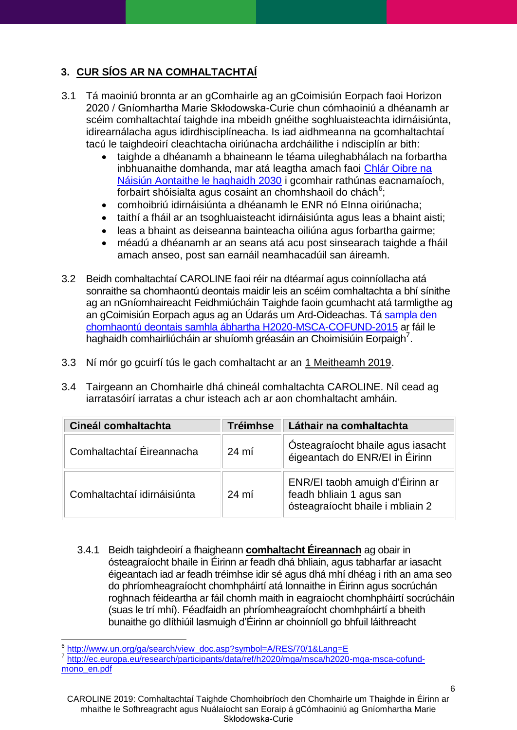# <span id="page-5-0"></span>**3. CUR SÍOS AR NA COMHALTACHTAÍ**

- 3.1 Tá maoiniú bronnta ar an gComhairle ag an gCoimisiún Eorpach faoi Horizon 2020 / Gníomhartha Marie Skłodowska-Curie chun cómhaoiniú a dhéanamh ar scéim comhaltachtaí taighde ina mbeidh gnéithe soghluaisteachta idirnáisiúnta, idirearnálacha agus idirdhisciplíneacha. Is iad aidhmeanna na gcomhaltachtaí tacú le taighdeoirí cleachtacha oiriúnacha ardcháilithe i ndisciplín ar bith:
	- taighde a dhéanamh a bhaineann le téama uileghabhálach na forbartha inbhuanaithe domhanda, mar atá leagtha amach faoi [Chlár Oibre na](http://www.un.org/ga/search/view_doc.asp?symbol=A/RES/70/1&Lang=E)  [Náisiún Aontaithe le haghaidh 2030](http://www.un.org/ga/search/view_doc.asp?symbol=A/RES/70/1&Lang=E) i gcomhair rathúnas eacnamaíoch, forbairt shóisialta agus cosaint an chomhshaoil do chách<sup>6</sup>;
	- comhoibriú idirnáisiúnta a dhéanamh le ENR nó EInna oiriúnacha;
	- taithí a fháil ar an tsoghluaisteacht idirnáisiúnta agus leas a bhaint aisti;
	- leas a bhaint as deiseanna bainteacha oiliúna agus forbartha gairme;
	- méadú a dhéanamh ar an seans atá acu post sinsearach taighde a fháil amach anseo, post san earnáil neamhacadúil san áireamh.
- 3.2 Beidh comhaltachtaí CAROLINE faoi réir na dtéarmaí agus coinníollacha atá sonraithe sa chomhaontú deontais maidir leis an scéim comhaltachta a bhí sínithe ag an nGníomhaireacht Feidhmiúcháin Taighde faoin gcumhacht atá tarmligthe ag an gCoimisiún Eorpach agus ag an Údarás um Ard-Oideachas. Tá [sampla den](http://ec.europa.eu/research/participants/data/ref/h2020/mga/msca/h2020-mga-msca-cofund-mono_en.pdf)  [chomhaontú deontais samhla ábhartha H2020-MSCA-COFUND-2015](http://ec.europa.eu/research/participants/data/ref/h2020/mga/msca/h2020-mga-msca-cofund-mono_en.pdf) ar fáil le haghaidh comhairliúcháin ar shuíomh gréasáin an Choimisiúin Eorpaigh<sup>7</sup>.
- 3.3 Ní mór go gcuirfí tús le gach comhaltacht ar an 1 Meitheamh 2019.
- 3.4 Tairgeann an Chomhairle dhá chineál comhaltachta CAROLINE. Níl cead ag iarratasóirí iarratas a chur isteach ach ar aon chomhaltacht amháin.

| Cineál comhaltachta         | <b>Tréimhse</b> | Láthair na comhaltachta                                                                         |
|-----------------------------|-----------------|-------------------------------------------------------------------------------------------------|
| Comhaltachtaí Éireannacha   | $24 \text{ mi}$ | Osteagraíocht bhaile agus iasacht<br>éigeantach do ENR/EI in Éirinn                             |
| Comhaltachtaí idirnáisiúnta | $24 \text{ mi}$ | ENR/EI taobh amuigh d'Éirinn ar<br>feadh bhliain 1 agus san<br>ósteagraíocht bhaile i mbliain 2 |

3.4.1 Beidh taighdeoirí a fhaigheann **comhaltacht Éireannach** ag obair in ósteagraíocht bhaile in Éirinn ar feadh dhá bhliain, agus tabharfar ar iasacht éigeantach iad ar feadh tréimhse idir sé agus dhá mhí dhéag i rith an ama seo do phríomheagraíocht chomhpháirtí atá lonnaithe in Éirinn agus socrúchán roghnach féideartha ar fáil chomh maith in eagraíocht chomhpháirtí socrúcháin (suas le trí mhí). Féadfaidh an phríomheagraíocht chomhpháirtí a bheith bunaithe go dlíthiúil lasmuigh d'Éirinn ar choinníoll go bhfuil láithreacht

 $\overline{a}$ 

<sup>6</sup> [http://www.un.org/ga/search/view\\_doc.asp?symbol=A/RES/70/1&Lang=E](http://www.un.org/ga/search/view_doc.asp?symbol=A/RES/70/1&Lang=E)

<sup>&</sup>lt;sup>7</sup> [http://ec.europa.eu/research/participants/data/ref/h2020/mga/msca/h2020-mga-msca-cofund](http://ec.europa.eu/research/participants/data/ref/h2020/mga/msca/h2020-mga-msca-cofund-mono_en.pdf)[mono\\_en.pdf](http://ec.europa.eu/research/participants/data/ref/h2020/mga/msca/h2020-mga-msca-cofund-mono_en.pdf)

CAROLINE 2019: Comhaltachtaí Taighde Chomhoibríoch den Chomhairle um Thaighde in Éirinn ar mhaithe le Sofhreagracht agus Nuálaíocht san Eoraip á gCómhaoiniú ag Gníomhartha Marie Skłodowska-Curie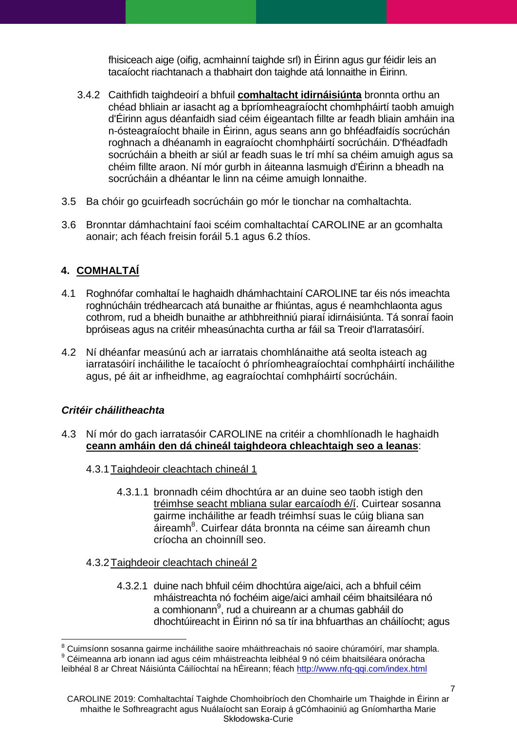fhisiceach aige (oifig, acmhainní taighde srl) in Éirinn agus gur féidir leis an tacaíocht riachtanach a thabhairt don taighde atá lonnaithe in Éirinn.

- <span id="page-6-1"></span>3.4.2 Caithfidh taighdeoirí a bhfuil **comhaltacht idirnáisiúnta** bronnta orthu an chéad bhliain ar iasacht ag a bpríomheagraíocht chomhpháirtí taobh amuigh d'Éirinn agus déanfaidh siad céim éigeantach fillte ar feadh bliain amháin ina n-ósteagraíocht bhaile in Éirinn, agus seans ann go bhféadfaidís socrúchán roghnach a dhéanamh in eagraíocht chomhpháirtí socrúcháin. D'fhéadfadh socrúcháin a bheith ar siúl ar feadh suas le trí mhí sa chéim amuigh agus sa chéim fillte araon. Ní mór gurbh in áiteanna lasmuigh d'Éirinn a bheadh na socrúcháin a dhéantar le linn na céime amuigh lonnaithe.
- 3.5 Ba chóir go gcuirfeadh socrúcháin go mór le tionchar na comhaltachta.
- 3.6 Bronntar dámhachtainí faoi scéim comhaltachtaí CAROLINE ar an gcomhalta aonair; ach féach freisin foráil [5.1](#page-9-1) agus [6.2](#page-11-1) thíos.

## <span id="page-6-0"></span>**4. COMHALTAÍ**

- 4.1 Roghnófar comhaltaí le haghaidh dhámhachtainí CAROLINE tar éis nós imeachta roghnúcháin trédhearcach atá bunaithe ar fhiúntas, agus é neamhchlaonta agus cothrom, rud a bheidh bunaithe ar athbhreithniú piaraí idirnáisiúnta. Tá sonraí faoin bpróiseas agus na critéir mheasúnachta curtha ar fáil sa Treoir d'Iarratasóirí.
- 4.2 Ní dhéanfar measúnú ach ar iarratais chomhlánaithe atá seolta isteach ag iarratasóirí incháilithe le tacaíocht ó phríomheagraíochtaí comhpháirtí incháilithe agus, pé áit ar infheidhme, ag eagraíochtaí comhpháirtí socrúcháin.

#### *Critéir cháilitheachta*

 $\overline{a}$ 

- 4.3 Ní mór do gach iarratasóir CAROLINE na critéir a chomhlíonadh le haghaidh **ceann amháin den dá chineál taighdeora chleachtaigh seo a leanas**:
	- 4.3.1Taighdeoir cleachtach chineál 1
		- 4.3.1.1 bronnadh céim dhochtúra ar an duine seo taobh istigh den tréimhse seacht mbliana sular earcaíodh é/í. Cuirtear sosanna gairme incháilithe ar feadh tréimhsí suas le cúig bliana san áireamh<sup>8</sup>. Cuirfear dáta bronnta na céime san áireamh chun críocha an choinníll seo.
	- 4.3.2Taighdeoir cleachtach chineál 2
		- 4.3.2.1 duine nach bhfuil céim dhochtúra aige/aici, ach a bhfuil céim mháistreachta nó fochéim aige/aici amhail céim bhaitsiléara nó a comhionann<sup>9</sup>, rud a chuireann ar a chumas gabháil do dhochtúireacht in Éirinn nó sa tír ina bhfuarthas an cháilíocht; agus

 $^8$  Cuimsíonn sosanna gairme incháilithe saoire mháithreachais nó saoire chúramóirí, mar shampla.  $9$  Céimeanna arb ionann iad agus céim mháistreachta leibhéal 9 nó céim bhaitsiléara onóracha leibhéal 8 ar Chreat Náisiúnta Cáilíochtaí na hÉireann; féach<http://www.nfq-qqi.com/index.html>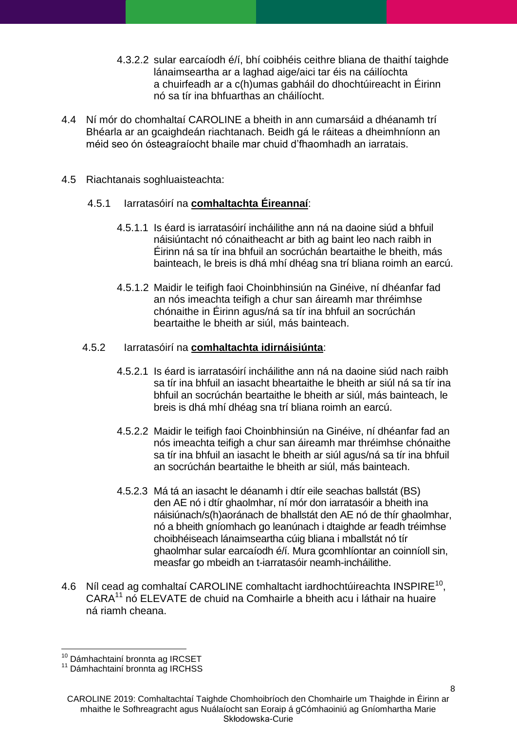- 4.3.2.2 sular earcaíodh é/í, bhí coibhéis ceithre bliana de thaithí taighde lánaimseartha ar a laghad aige/aici tar éis na cáilíochta a chuirfeadh ar a c(h)umas gabháil do dhochtúireacht in Éirinn nó sa tír ina bhfuarthas an cháilíocht.
- 4.4 Ní mór do chomhaltaí CAROLINE a bheith in ann cumarsáid a dhéanamh trí Bhéarla ar an gcaighdeán riachtanach. Beidh gá le ráiteas a dheimhníonn an méid seo ón ósteagraíocht bhaile mar chuid d'fhaomhadh an iarratais.
- <span id="page-7-0"></span>4.5 Riachtanais soghluaisteachta:

#### 4.5.1 Iarratasóirí na **comhaltachta Éireannaí**:

- 4.5.1.1 Is éard is iarratasóirí incháilithe ann ná na daoine siúd a bhfuil náisiúntacht nó cónaitheacht ar bith ag baint leo nach raibh in Éirinn ná sa tír ina bhfuil an socrúchán beartaithe le bheith, más bainteach, le breis is dhá mhí dhéag sna trí bliana roimh an earcú.
- 4.5.1.2 Maidir le teifigh faoi Choinbhinsiún na Ginéive, ní dhéanfar fad an nós imeachta teifigh a chur san áireamh mar thréimhse chónaithe in Éirinn agus/ná sa tír ina bhfuil an socrúchán beartaithe le bheith ar siúl, más bainteach.

#### 4.5.2 Iarratasóirí na **comhaltachta idirnáisiúnta**:

- 4.5.2.1 Is éard is iarratasóirí incháilithe ann ná na daoine siúd nach raibh sa tír ina bhfuil an iasacht bheartaithe le bheith ar siúl ná sa tír ina bhfuil an socrúchán beartaithe le bheith ar siúl, más bainteach, le breis is dhá mhí dhéag sna trí bliana roimh an earcú.
- 4.5.2.2 Maidir le teifigh faoi Choinbhinsiún na Ginéive, ní dhéanfar fad an nós imeachta teifigh a chur san áireamh mar thréimhse chónaithe sa tír ina bhfuil an iasacht le bheith ar siúl agus/ná sa tír ina bhfuil an socrúchán beartaithe le bheith ar siúl, más bainteach.
- 4.5.2.3 Má tá an iasacht le déanamh i dtír eile seachas ballstát (BS) den AE nó i dtír ghaolmhar, ní mór don iarratasóir a bheith ina náisiúnach/s(h)aoránach de bhallstát den AE nó de thír ghaolmhar, nó a bheith gníomhach go leanúnach i dtaighde ar feadh tréimhse choibhéiseach lánaimseartha cúig bliana i mballstát nó tír ghaolmhar sular earcaíodh é/í. Mura gcomhlíontar an coinníoll sin, measfar go mbeidh an t-iarratasóir neamh-incháilithe.
- 4.6 Níl cead ag comhaltaí CAROLINE comhaltacht iardhochtúireachta INSPIRE $^{10}$ , CARA<sup>11</sup> nó ELEVATE de chuid na Comhairle a bheith acu i láthair na huaire ná riamh cheana.

 $\overline{a}$ <sup>10</sup> Dámhachtainí bronnta ag IRCSET

<sup>11</sup> Dámhachtainí bronnta ag IRCHSS

CAROLINE 2019: Comhaltachtaí Taighde Chomhoibríoch den Chomhairle um Thaighde in Éirinn ar mhaithe le Sofhreagracht agus Nuálaíocht san Eoraip á gCómhaoiniú ag Gníomhartha Marie Skłodowska-Curie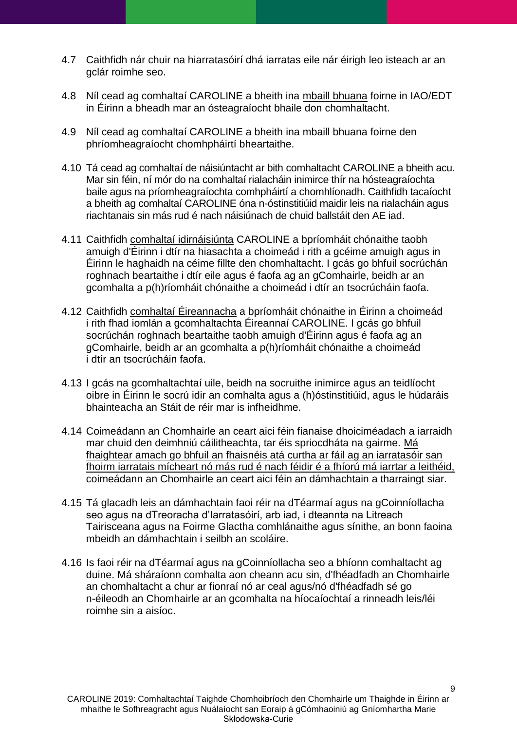- 4.7 Caithfidh nár chuir na hiarratasóirí dhá iarratas eile nár éirigh leo isteach ar an gclár roimhe seo.
- 4.8 Níl cead ag comhaltaí CAROLINE a bheith ina mbaill bhuana foirne in IAO/EDT in Éirinn a bheadh mar an ósteagraíocht bhaile don chomhaltacht.
- 4.9 Níl cead ag comhaltaí CAROLINE a bheith ina mbaill bhuana foirne den phríomheagraíocht chomhpháirtí bheartaithe.
- 4.10 Tá cead ag comhaltaí de náisiúntacht ar bith comhaltacht CAROLINE a bheith acu. Mar sin féin, ní mór do na comhaltaí rialacháin inimirce thír na hósteagraíochta baile agus na príomheagraíochta comhpháirtí a chomhlíonadh. Caithfidh tacaíocht a bheith ag comhaltaí CAROLINE óna n-óstinstitiúid maidir leis na rialacháin agus riachtanais sin más rud é nach náisiúnach de chuid ballstáit den AE iad.
- 4.11 Caithfidh comhaltaí idirnáisiúnta CAROLINE a bpríomháit chónaithe taobh amuigh d'Éirinn i dtír na hiasachta a choimeád i rith a gcéime amuigh agus in Éirinn le haghaidh na céime fillte den chomhaltacht. I gcás go bhfuil socrúchán roghnach beartaithe i dtír eile agus é faofa ag an gComhairle, beidh ar an gcomhalta a p(h)ríomháit chónaithe a choimeád i dtír an tsocrúcháin faofa.
- 4.12 Caithfidh comhaltaí Éireannacha a bpríomháit chónaithe in Éirinn a choimeád i rith fhad iomlán a gcomhaltachta Éireannaí CAROLINE. I gcás go bhfuil socrúchán roghnach beartaithe taobh amuigh d'Éirinn agus é faofa ag an gComhairle, beidh ar an gcomhalta a p(h)ríomháit chónaithe a choimeád i dtír an tsocrúcháin faofa.
- 4.13 I gcás na gcomhaltachtaí uile, beidh na socruithe inimirce agus an teidlíocht oibre in Éirinn le socrú idir an comhalta agus a (h)óstinstitiúid, agus le húdaráis bhainteacha an Stáit de réir mar is infheidhme.
- 4.14 Coimeádann an Chomhairle an ceart aici féin fianaise dhoiciméadach a iarraidh mar chuid den deimhniú cáilitheachta, tar éis spriocdháta na gairme. Má fhaightear amach go bhfuil an fhaisnéis atá curtha ar fáil ag an iarratasóir san fhoirm iarratais mícheart nó más rud é nach féidir é a fhíorú má iarrtar a leithéid, coimeádann an Chomhairle an ceart aici féin an dámhachtain a tharraingt siar.
- 4.15 Tá glacadh leis an dámhachtain faoi réir na dTéarmaí agus na gCoinníollacha seo agus na dTreoracha d'Iarratasóirí, arb iad, i dteannta na Litreach Tairisceana agus na Foirme Glactha comhlánaithe agus sínithe, an bonn faoina mbeidh an dámhachtain i seilbh an scoláire.
- 4.16 Is faoi réir na dTéarmaí agus na gCoinníollacha seo a bhíonn comhaltacht ag duine. Má sháraíonn comhalta aon cheann acu sin, d'fhéadfadh an Chomhairle an chomhaltacht a chur ar fionraí nó ar ceal agus/nó d'fhéadfadh sé go n-éileodh an Chomhairle ar an gcomhalta na híocaíochtaí a rinneadh leis/léi roimhe sin a aisíoc.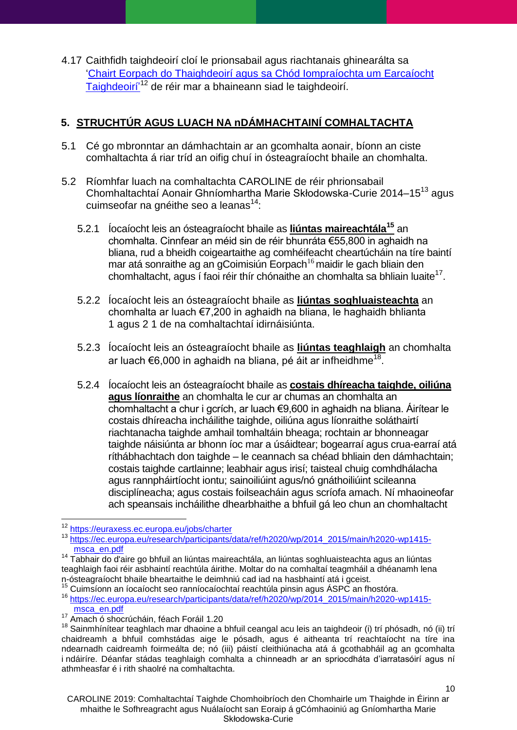4.17 Caithfidh taighdeoirí cloí le prionsabail agus riachtanais ghinearálta sa 'Chairt Eorpach do Thaighdeoirí agus sa Chód Iompraíochta um Earcaíocht [Taighdeoirí'](https://euraxess.ec.europa.eu/jobs/charter)<sup>12</sup> de réir mar a bhaineann siad le taighdeoirí.

# <span id="page-9-0"></span>**5. STRUCHTÚR AGUS LUACH NA nDÁMHACHTAINÍ COMHALTACHTA**

- <span id="page-9-1"></span>5.1 Cé go mbronntar an dámhachtain ar an gcomhalta aonair, bíonn an ciste comhaltachta á riar tríd an oifig chuí in ósteagraíocht bhaile an chomhalta.
- 5.2 Ríomhfar luach na comhaltachta CAROLINE de réir phrionsabail Chomhaltachtaí Aonair Ghníomhartha Marie Skłodowska-Curie 2014–15<sup>13</sup> agus cuimseofar na gnéithe seo a leanas<sup>14</sup>:
	- 5.2.1 Íocaíocht leis an ósteagraíocht bhaile as **liúntas maireachtála<sup>15</sup>** an chomhalta. Cinnfear an méid sin de réir bhunráta €55,800 in aghaidh na bliana, rud a bheidh coigeartaithe ag comhéifeacht cheartúcháin na tíre baintí mar atá sonraithe ag an gCoimisiún Eorpach<sup>16</sup> maidir le gach bliain den chomhaltacht, agus í faoi réir thír chónaithe an chomhalta sa bhliain luaite<sup>17</sup>.
	- 5.2.2 Íocaíocht leis an ósteagraíocht bhaile as **liúntas soghluaisteachta** an chomhalta ar luach €7,200 in aghaidh na bliana, le haghaidh bhlianta 1 agus 2 1 de na comhaltachtaí idirnáisiúnta.
	- 5.2.3 Íocaíocht leis an ósteagraíocht bhaile as **liúntas teaghlaigh** an chomhalta ar luach €6,000 in aghaidh na bliana, pé áit ar infheidhme $^{18}$ .
	- 5.2.4 Íocaíocht leis an ósteagraíocht bhaile as **costais dhíreacha taighde, oiliúna agus líonraithe** an chomhalta le cur ar chumas an chomhalta an chomhaltacht a chur i gcrích, ar luach €9,600 in aghaidh na bliana. Áirítear le costais dhíreacha incháilithe taighde, oiliúna agus líonraithe soláthairtí riachtanacha taighde amhail tomhaltáin bheaga; rochtain ar bhonneagar taighde náisiúnta ar bhonn íoc mar a úsáidtear; bogearraí agus crua-earraí atá ríthábhachtach don taighde – le ceannach sa chéad bhliain den dámhachtain; costais taighde cartlainne; leabhair agus irisí; taisteal chuig comhdhálacha agus rannpháirtíocht iontu; sainoiliúint agus/nó gnáthoiliúint scileanna disciplíneacha; agus costais foilseacháin agus scríofa amach. Ní mhaoineofar ach speansais incháilithe dhearbhaithe a bhfuil gá leo chun an chomhaltacht

 $\overline{a}$ 

<sup>&</sup>lt;sup>12</sup> <https://euraxess.ec.europa.eu/jobs/charter>

<sup>13</sup> [https://ec.europa.eu/research/participants/data/ref/h2020/wp/2014\\_2015/main/h2020-wp1415](https://ec.europa.eu/research/participants/data/ref/h2020/wp/2014_2015/main/h2020-wp1415-msca_en.pdf) [msca\\_en.pdf](https://ec.europa.eu/research/participants/data/ref/h2020/wp/2014_2015/main/h2020-wp1415-msca_en.pdf)

<sup>&</sup>lt;sup>14</sup> Tabhair do d'aire go bhfuil an liúntas maireachtála, an liúntas soghluaisteachta agus an liúntas teaghlaigh faoi réir asbhaintí reachtúla áirithe. Moltar do na comhaltaí teagmháil a dhéanamh lena n-ósteagraíocht bhaile bheartaithe le deimhniú cad iad na hasbhaintí atá i gceist.

<sup>15</sup> Cuimsíonn an íocaíocht seo ranníocaíochtaí reachtúla pinsin agus ÁSPC an fhostóra. <sup>16</sup> [https://ec.europa.eu/research/participants/data/ref/h2020/wp/2014\\_2015/main/h2020-wp1415](https://ec.europa.eu/research/participants/data/ref/h2020/wp/2014_2015/main/h2020-wp1415-msca_en.pdf) [msca\\_en.pdf](https://ec.europa.eu/research/participants/data/ref/h2020/wp/2014_2015/main/h2020-wp1415-msca_en.pdf)

<sup>&</sup>lt;sup>17</sup> Amach ó shocrúcháin, féach Foráil [1.20](#page-3-4)

<sup>&</sup>lt;sup>18</sup> Sainmhínítear teaghlach mar dhaoine a bhfuil ceangal acu leis an taighdeoir (i) trí phósadh, nó (ii) trí chaidreamh a bhfuil comhstádas aige le pósadh, agus é aitheanta trí reachtaíocht na tíre ina ndearnadh caidreamh foirmeálta de; nó (iii) páistí cleithiúnacha atá á gcothabháil ag an gcomhalta i ndáiríre. Déanfar stádas teaghlaigh comhalta a chinneadh ar an spriocdháta d'iarratasóirí agus ní athmheasfar é i rith shaolré na comhaltachta.

CAROLINE 2019: Comhaltachtaí Taighde Chomhoibríoch den Chomhairle um Thaighde in Éirinn ar mhaithe le Sofhreagracht agus Nuálaíocht san Eoraip á gCómhaoiniú ag Gníomhartha Marie Skłodowska-Curie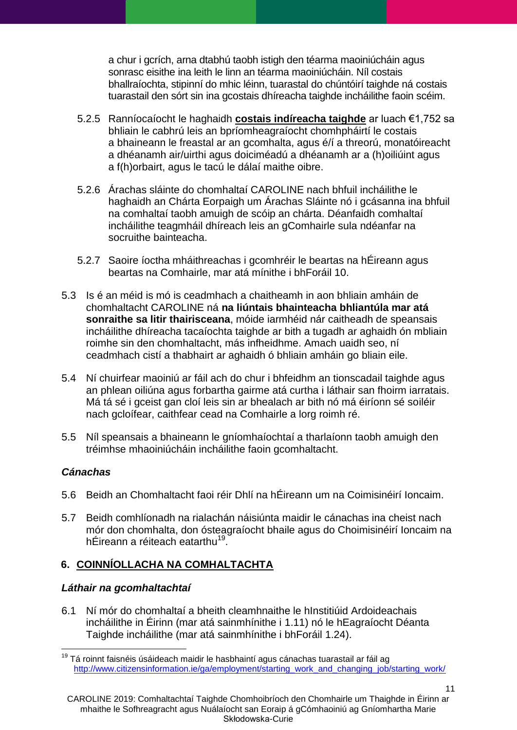a chur i gcrích, arna dtabhú taobh istigh den téarma maoiniúcháin agus sonrasc eisithe ina leith le linn an téarma maoiniúcháin. Níl costais bhallraíochta, stipinní do mhic léinn, tuarastal do chúntóirí taighde ná costais tuarastail den sórt sin ina gcostais dhíreacha taighde incháilithe faoin scéim.

- 5.2.5 Ranníocaíocht le haghaidh **costais indíreacha taighde** ar luach €1,752 sa bhliain le cabhrú leis an bpríomheagraíocht chomhpháirtí le costais a bhaineann le freastal ar an gcomhalta, agus é/í a threorú, monatóireacht a dhéanamh air/uirthi agus doiciméadú a dhéanamh ar a (h)oiliúint agus a f(h)orbairt, agus le tacú le dálaí maithe oibre.
- 5.2.6 Árachas sláinte do chomhaltaí CAROLINE nach bhfuil incháilithe le haghaidh an Chárta Eorpaigh um Árachas Sláinte nó i gcásanna ina bhfuil na comhaltaí taobh amuigh de scóip an chárta. Déanfaidh comhaltaí incháilithe teagmháil dhíreach leis an gComhairle sula ndéanfar na socruithe bainteacha.
- <span id="page-10-1"></span>5.2.7 Saoire íoctha mháithreachas i gcomhréir le beartas na hÉireann agus beartas na Comhairle, mar atá mínithe i bhForáil 10.
- 5.3 Is é an méid is mó is ceadmhach a chaitheamh in aon bhliain amháin de chomhaltacht CAROLINE ná **na liúntais bhainteacha bhliantúla mar atá sonraithe sa litir thairisceana**, móide iarmhéid nár caitheadh de speansais incháilithe dhíreacha tacaíochta taighde ar bith a tugadh ar aghaidh ón mbliain roimhe sin den chomhaltacht, más infheidhme. Amach uaidh seo, ní ceadmhach cistí a thabhairt ar aghaidh ó bhliain amháin go bliain eile.
- 5.4 Ní chuirfear maoiniú ar fáil ach do chur i bhfeidhm an tionscadail taighde agus an phlean oiliúna agus forbartha gairme atá curtha i láthair san fhoirm iarratais. Má tá sé i gceist gan cloí leis sin ar bhealach ar bith nó má éiríonn sé soiléir nach gcloífear, caithfear cead na Comhairle a lorg roimh ré.
- 5.5 Níl speansais a bhaineann le gníomhaíochtaí a tharlaíonn taobh amuigh den tréimhse mhaoiniúcháin incháilithe faoin gcomhaltacht.

## *Cánachas*

- 5.6 Beidh an Chomhaltacht faoi réir Dhlí na hÉireann um na Coimisinéirí Ioncaim.
- 5.7 Beidh comhlíonadh na rialachán náisiúnta maidir le cánachas ina cheist nach mór don chomhalta, don ósteagraíocht bhaile agus do Choimisinéirí Ioncaim na hÉireann a réiteach eatarthu<sup>19</sup>.

# <span id="page-10-0"></span>**6. COINNÍOLLACHA NA COMHALTACHTA**

## *Láthair na gcomhaltachtaí*

6.1 Ní mór do chomhaltaí a bheith cleamhnaithe le hInstitiúid Ardoideachais incháilithe in Éirinn (mar atá sainmhínithe i [1.11\)](#page-2-1) nó le hEagraíocht Déanta Taighde incháilithe (mar atá sainmhínithe i bhForáil [1.24\)](#page-4-1).

 $\overline{a}$  $19$  Tá roinnt faisnéis úsáideach maidir le hasbhaintí agus cánachas tuarastail ar fáil ag [http://www.citizensinformation.ie/ga/employment/starting\\_work\\_and\\_changing\\_job/starting\\_work/](http://www.citizensinformation.ie/en/employment/starting_work_and_changing_job/starting_work/)

CAROLINE 2019: Comhaltachtaí Taighde Chomhoibríoch den Chomhairle um Thaighde in Éirinn ar mhaithe le Sofhreagracht agus Nuálaíocht san Eoraip á gCómhaoiniú ag Gníomhartha Marie Skłodowska-Curie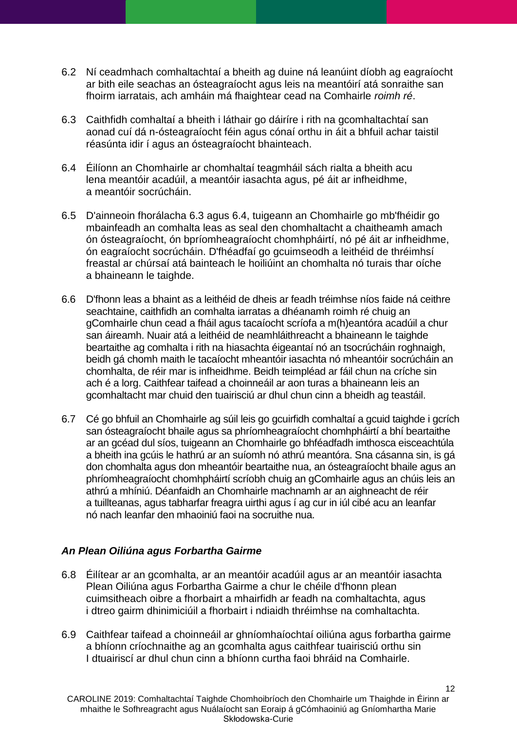- <span id="page-11-1"></span>6.2 Ní ceadmhach comhaltachtaí a bheith ag duine ná leanúint díobh ag eagraíocht ar bith eile seachas an ósteagraíocht agus leis na meantóirí atá sonraithe san fhoirm iarratais, ach amháin má fhaightear cead na Comhairle *roimh ré*.
- <span id="page-11-2"></span>6.3 Caithfidh comhaltaí a bheith i láthair go dáiríre i rith na gcomhaltachtaí san aonad cuí dá n-ósteagraíocht féin agus cónaí orthu in áit a bhfuil achar taistil réasúnta idir í agus an ósteagraíocht bhainteach.
- <span id="page-11-3"></span>6.4 Éilíonn an Chomhairle ar chomhaltaí teagmháil sách rialta a bheith acu lena meantóir acadúil, a meantóir iasachta agus, pé áit ar infheidhme, a meantóir socrúcháin.
- 6.5 D'ainneoin fhorálacha [6.3](#page-11-2) agus [6.4,](#page-11-3) tuigeann an Chomhairle go mb'fhéidir go mbainfeadh an comhalta leas as seal den chomhaltacht a chaitheamh amach ón ósteagraíocht, ón bpríomheagraíocht chomhpháirtí, nó pé áit ar infheidhme, ón eagraíocht socrúcháin. D'fhéadfaí go gcuimseodh a leithéid de thréimhsí freastal ar chúrsaí atá bainteach le hoiliúint an chomhalta nó turais thar oíche a bhaineann le taighde.
- 6.6 D'fhonn leas a bhaint as a leithéid de dheis ar feadh tréimhse níos faide ná ceithre seachtaine, caithfidh an comhalta iarratas a dhéanamh roimh ré chuig an gComhairle chun cead a fháil agus tacaíocht scríofa a m(h)eantóra acadúil a chur san áireamh. Nuair atá a leithéid de neamhláithreacht a bhaineann le taighde beartaithe ag comhalta i rith na hiasachta éigeantaí nó an tsocrúcháin roghnaigh, beidh gá chomh maith le tacaíocht mheantóir iasachta nó mheantóir socrúcháin an chomhalta, de réir mar is infheidhme. Beidh teimpléad ar fáil chun na críche sin ach é a lorg. Caithfear taifead a choinneáil ar aon turas a bhaineann leis an gcomhaltacht mar chuid den tuairisciú ar dhul chun cinn a bheidh ag teastáil.
- 6.7 Cé go bhfuil an Chomhairle ag súil leis go gcuirfidh comhaltaí a gcuid taighde i gcrích san ósteagraíocht bhaile agus sa phríomheagraíocht chomhpháirtí a bhí beartaithe ar an gcéad dul síos, tuigeann an Chomhairle go bhféadfadh imthosca eisceachtúla a bheith ina gcúis le hathrú ar an suíomh nó athrú meantóra. Sna cásanna sin, is gá don chomhalta agus don mheantóir beartaithe nua, an ósteagraíocht bhaile agus an phríomheagraíocht chomhpháirtí scríobh chuig an gComhairle agus an chúis leis an athrú a mhíniú. Déanfaidh an Chomhairle machnamh ar an aighneacht de réir a tuillteanas, agus tabharfar freagra uirthi agus í ag cur in iúl cibé acu an leanfar nó nach leanfar den mhaoiniú faoi na socruithe nua.

#### <span id="page-11-0"></span>*An Plean Oiliúna agus Forbartha Gairme*

- 6.8 Éilítear ar an gcomhalta, ar an meantóir acadúil agus ar an meantóir iasachta Plean Oiliúna agus Forbartha Gairme a chur le chéile d'fhonn plean cuimsitheach oibre a fhorbairt a mhairfidh ar feadh na comhaltachta, agus i dtreo gairm dhinimiciúil a fhorbairt i ndiaidh thréimhse na comhaltachta.
- 6.9 Caithfear taifead a choinneáil ar ghníomhaíochtaí oiliúna agus forbartha gairme a bhíonn críochnaithe ag an gcomhalta agus caithfear tuairisciú orthu sin I dtuairiscí ar dhul chun cinn a bhíonn curtha faoi bhráid na Comhairle.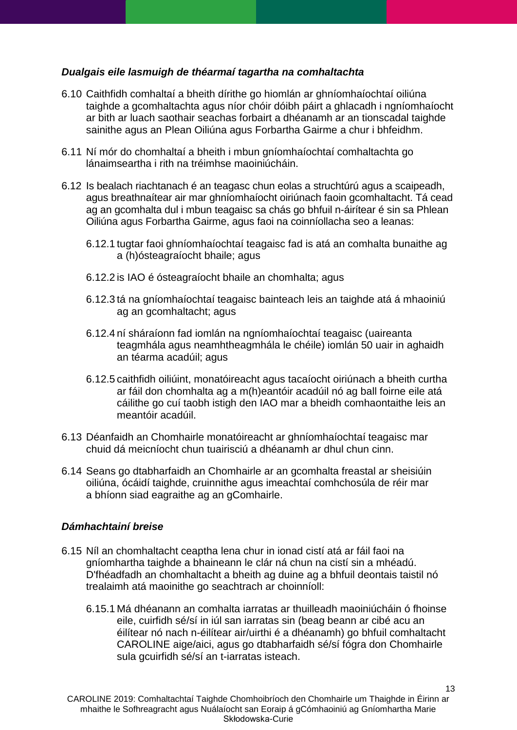### <span id="page-12-0"></span>*Dualgais eile lasmuigh de théarmaí tagartha na comhaltachta*

- 6.10 Caithfidh comhaltaí a bheith dírithe go hiomlán ar ghníomhaíochtaí oiliúna taighde a gcomhaltachta agus níor chóir dóibh páirt a ghlacadh i ngníomhaíocht ar bith ar luach saothair seachas forbairt a dhéanamh ar an tionscadal taighde sainithe agus an Plean Oiliúna agus Forbartha Gairme a chur i bhfeidhm.
- 6.11 Ní mór do chomhaltaí a bheith i mbun gníomhaíochtaí comhaltachta go lánaimseartha i rith na tréimhse maoiniúcháin.
- 6.12 Is bealach riachtanach é an teagasc chun eolas a struchtúrú agus a scaipeadh, agus breathnaítear air mar ghníomhaíocht oiriúnach faoin gcomhaltacht. Tá cead ag an gcomhalta dul i mbun teagaisc sa chás go bhfuil n-áirítear é sin sa Phlean Oiliúna agus Forbartha Gairme, agus faoi na coinníollacha seo a leanas:
	- 6.12.1 tugtar faoi ghníomhaíochtaí teagaisc fad is atá an comhalta bunaithe ag a (h)ósteagraíocht bhaile; agus
	- 6.12.2 is IAO é ósteagraíocht bhaile an chomhalta; agus
	- 6.12.3 tá na gníomhaíochtaí teagaisc bainteach leis an taighde atá á mhaoiniú ag an gcomhaltacht; agus
	- 6.12.4 ní sháraíonn fad iomlán na ngníomhaíochtaí teagaisc (uaireanta teagmhála agus neamhtheagmhála le chéile) iomlán 50 uair in aghaidh an téarma acadúil; agus
	- 6.12.5 caithfidh oiliúint, monatóireacht agus tacaíocht oiriúnach a bheith curtha ar fáil don chomhalta ag a m(h)eantóir acadúil nó ag ball foirne eile atá cáilithe go cuí taobh istigh den IAO mar a bheidh comhaontaithe leis an meantóir acadúil.
- 6.13 Déanfaidh an Chomhairle monatóireacht ar ghníomhaíochtaí teagaisc mar chuid dá meicníocht chun tuairisciú a dhéanamh ar dhul chun cinn.
- 6.14 Seans go dtabharfaidh an Chomhairle ar an gcomhalta freastal ar sheisiúin oiliúna, ócáidí taighde, cruinnithe agus imeachtaí comhchosúla de réir mar a bhíonn siad eagraithe ag an gComhairle.

### <span id="page-12-1"></span>*Dámhachtainí breise*

- 6.15 Níl an chomhaltacht ceaptha lena chur in ionad cistí atá ar fáil faoi na gníomhartha taighde a bhaineann le clár ná chun na cistí sin a mhéadú. D'fhéadfadh an chomhaltacht a bheith ag duine ag a bhfuil deontais taistil nó trealaimh atá maoinithe go seachtrach ar choinníoll:
	- 6.15.1 Má dhéanann an comhalta iarratas ar thuilleadh maoiniúcháin ó fhoinse eile, cuirfidh sé/sí in iúl san iarratas sin (beag beann ar cibé acu an éilítear nó nach n-éilítear air/uirthi é a dhéanamh) go bhfuil comhaltacht CAROLINE aige/aici, agus go dtabharfaidh sé/sí fógra don Chomhairle sula gcuirfidh sé/sí an t-iarratas isteach.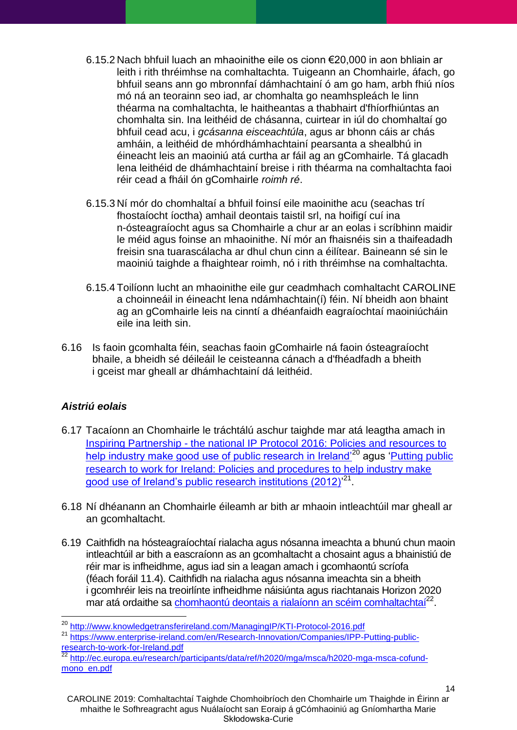- 6.15.2 Nach bhfuil luach an mhaoinithe eile os cionn €20,000 in aon bhliain ar leith i rith thréimhse na comhaltachta. Tuigeann an Chomhairle, áfach, go bhfuil seans ann go mbronnfaí dámhachtainí ó am go ham, arbh fhiú níos mó ná an teorainn seo iad, ar chomhalta go neamhspleách le linn théarma na comhaltachta, le haitheantas a thabhairt d'fhíorfhiúntas an chomhalta sin. Ina leithéid de chásanna, cuirtear in iúl do chomhaltaí go bhfuil cead acu, i *gcásanna eisceachtúla*, agus ar bhonn cáis ar chás amháin, a leithéid de mhórdhámhachtainí pearsanta a shealbhú in éineacht leis an maoiniú atá curtha ar fáil ag an gComhairle. Tá glacadh lena leithéid de dhámhachtainí breise i rith théarma na comhaltachta faoi réir cead a fháil ón gComhairle *roimh ré*.
- 6.15.3 Ní mór do chomhaltaí a bhfuil foinsí eile maoinithe acu (seachas trí fhostaíocht íoctha) amhail deontais taistil srl, na hoifigí cuí ina n-ósteagraíocht agus sa Chomhairle a chur ar an eolas i scríbhinn maidir le méid agus foinse an mhaoinithe. Ní mór an fhaisnéis sin a thaifeadadh freisin sna tuarascálacha ar dhul chun cinn a éilítear. Baineann sé sin le maoiniú taighde a fhaightear roimh, nó i rith thréimhse na comhaltachta.
- 6.15.4 Toilíonn lucht an mhaoinithe eile gur ceadmhach comhaltacht CAROLINE a choinneáil in éineacht lena ndámhachtain(í) féin. Ní bheidh aon bhaint ag an gComhairle leis na cinntí a dhéanfaidh eagraíochtaí maoiniúcháin eile ina leith sin.
- 6.16 Is faoin gcomhalta féin, seachas faoin gComhairle ná faoin ósteagraíocht bhaile, a bheidh sé déileáil le ceisteanna cánach a d'fhéadfadh a bheith i gceist mar gheall ar dhámhachtainí dá leithéid.

## <span id="page-13-0"></span>*Aistriú eolais*

 $\overline{a}$ 

- 6.17 Tacaíonn an Chomhairle le tráchtálú aschur taighde mar atá leagtha amach in Inspiring Partnership - [the national IP Protocol 2016: Policies and resources to](http://www.knowledgetransferireland.com/ManagingIP/KTI-Protocol-2016.pdf)  help industry make good use of public research in Ireland<sup>'20</sup> agus 'Putting public [research to work for Ireland: Policies and procedures to help industry make](https://www.enterprise-ireland.com/en/Research-Innovation/Companies/IPP-Putting-public-research-to-work-for-Ireland.pdf)  good use of Ireland's public research institutions (2012)<sup>'21</sup>.
- 6.18 Ní dhéanann an Chomhairle éileamh ar bith ar mhaoin intleachtúil mar gheall ar an gcomhaltacht.
- 6.19 Caithfidh na hósteagraíochtaí rialacha agus nósanna imeachta a bhunú chun maoin intleachtúil ar bith a eascraíonn as an gcomhaltacht a chosaint agus a bhainistiú de réir mar is infheidhme, agus iad sin a leagan amach i gcomhaontú scríofa (féach foráil [11.4\)](#page-23-1). Caithfidh na rialacha agus nósanna imeachta sin a bheith i gcomhréir leis na treoirlínte infheidhme náisiúnta agus riachtanais Horizon 2020 mar atá ordaithe sa [chomhaontú deontais a rialaíonn an scéim comhaltachtaí](http://ec.europa.eu/research/participants/data/ref/h2020/mga/msca/h2020-mga-msca-cofund-mono_en.pdf)<sup>22</sup>.

<sup>20</sup> <http://www.knowledgetransferireland.com/ManagingIP/KTI-Protocol-2016.pdf>

<sup>&</sup>lt;sup>21</sup> [https://www.enterprise-ireland.com/en/Research-Innovation/Companies/IPP-Putting-public](https://www.enterprise-ireland.com/en/Research-Innovation/Companies/IPP-Putting-public-research-to-work-for-Ireland.pdf)research-to-work-for-Ireland.pdf<br> $\frac{22 \text{ km} \times \text{m} \times \text{m}}{22 \text{ km} \times \text{m} \times \text{m}}$ 

<sup>22</sup> [http://ec.europa.eu/research/participants/data/ref/h2020/mga/msca/h2020-mga-msca-cofund](http://ec.europa.eu/research/participants/data/ref/h2020/mga/msca/h2020-mga-msca-cofund-mono_en.pdf)[mono\\_en.pdf](http://ec.europa.eu/research/participants/data/ref/h2020/mga/msca/h2020-mga-msca-cofund-mono_en.pdf)

CAROLINE 2019: Comhaltachtaí Taighde Chomhoibríoch den Chomhairle um Thaighde in Éirinn ar mhaithe le Sofhreagracht agus Nuálaíocht san Eoraip á gCómhaoiniú ag Gníomhartha Marie Skłodowska-Curie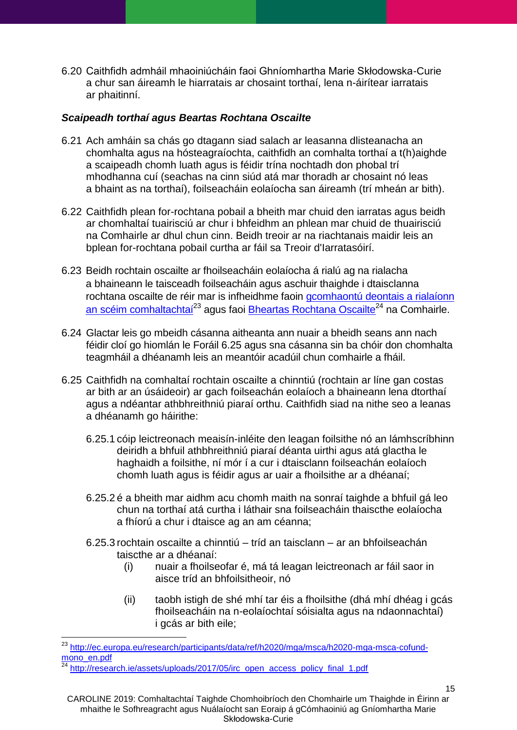6.20 Caithfidh admháil mhaoiniúcháin faoi Ghníomhartha Marie Skłodowska-Curie a chur san áireamh le hiarratais ar chosaint torthaí, lena n-áirítear iarratais ar phaitinní.

### <span id="page-14-0"></span>*Scaipeadh torthaí agus Beartas Rochtana Oscailte*

- 6.21 Ach amháin sa chás go dtagann siad salach ar leasanna dlisteanacha an chomhalta agus na hósteagraíochta, caithfidh an comhalta torthaí a t(h)aighde a scaipeadh chomh luath agus is féidir trína nochtadh don phobal trí mhodhanna cuí (seachas na cinn siúd atá mar thoradh ar chosaint nó leas a bhaint as na torthaí), foilseacháin eolaíocha san áireamh (trí mheán ar bith).
- 6.22 Caithfidh plean for-rochtana pobail a bheith mar chuid den iarratas agus beidh ar chomhaltaí tuairisciú ar chur i bhfeidhm an phlean mar chuid de thuairisciú na Comhairle ar dhul chun cinn. Beidh treoir ar na riachtanais maidir leis an bplean for-rochtana pobail curtha ar fáil sa Treoir d'Iarratasóirí.
- 6.23 Beidh rochtain oscailte ar fhoilseacháin eolaíocha á rialú ag na rialacha a bhaineann le taisceadh foilseacháin agus aschuir thaighde i dtaisclanna rochtana oscailte de réir mar is infheidhme faoin [gcomhaontú deontais a rialaíonn](http://ec.europa.eu/research/participants/data/ref/h2020/mga/msca/h2020-mga-msca-cofund-mono_en.pdf)  [an scéim comhaltachtaí](http://ec.europa.eu/research/participants/data/ref/h2020/mga/msca/h2020-mga-msca-cofund-mono_en.pdf)<sup>23</sup> agus faoi [Bheartas Rochtana Oscailte](http://research.ie/assets/uploads/2017/05/irc_open_access_policy_final_1.pdf)<sup>24</sup> na Comhairle.
- 6.24 Glactar leis go mbeidh cásanna aitheanta ann nuair a bheidh seans ann nach féidir cloí go hiomlán le Foráil [6.25](#page-14-1) agus sna cásanna sin ba chóir don chomhalta teagmháil a dhéanamh leis an meantóir acadúil chun comhairle a fháil.
- <span id="page-14-1"></span>6.25 Caithfidh na comhaltaí rochtain oscailte a chinntiú (rochtain ar líne gan costas ar bith ar an úsáideoir) ar gach foilseachán eolaíoch a bhaineann lena dtorthaí agus a ndéantar athbhreithniú piaraí orthu. Caithfidh siad na nithe seo a leanas a dhéanamh go háirithe:
	- 6.25.1 cóip leictreonach meaisín-inléite den leagan foilsithe nó an lámhscríbhinn deiridh a bhfuil athbhreithniú piaraí déanta uirthi agus atá glactha le haghaidh a foilsithe, ní mór í a cur i dtaisclann foilseachán eolaíoch chomh luath agus is féidir agus ar uair a fhoilsithe ar a dhéanaí;
	- 6.25.2 é a bheith mar aidhm acu chomh maith na sonraí taighde a bhfuil gá leo chun na torthaí atá curtha i láthair sna foilseacháin thaiscthe eolaíocha a fhíorú a chur i dtaisce ag an am céanna;
	- 6.25.3 rochtain oscailte a chinntiú tríd an taisclann ar an bhfoilseachán taiscthe ar a dhéanaí:
		- (i) nuair a fhoilseofar é, má tá leagan leictreonach ar fáil saor in aisce tríd an bhfoilsitheoir, nó
		- (ii) taobh istigh de shé mhí tar éis a fhoilsithe (dhá mhí dhéag i gcás fhoilseacháin na n-eolaíochtaí sóisialta agus na ndaonnachtaí) i gcás ar bith eile;

 $\overline{a}$ 

15

<sup>&</sup>lt;sup>23</sup> [http://ec.europa.eu/research/participants/data/ref/h2020/mga/msca/h2020-mga-msca-cofund](http://ec.europa.eu/research/participants/data/ref/h2020/mga/msca/h2020-mga-msca-cofund-mono_en.pdf)[mono\\_en.pdf](http://ec.europa.eu/research/participants/data/ref/h2020/mga/msca/h2020-mga-msca-cofund-mono_en.pdf)

<sup>24</sup> [http://research.ie/assets/uploads/2017/05/irc\\_open\\_access\\_policy\\_final\\_1.pdf](http://research.ie/assets/uploads/2017/05/irc_open_access_policy_final_1.pdf)

CAROLINE 2019: Comhaltachtaí Taighde Chomhoibríoch den Chomhairle um Thaighde in Éirinn ar mhaithe le Sofhreagracht agus Nuálaíocht san Eoraip á gCómhaoiniú ag Gníomhartha Marie Skłodowska-Curie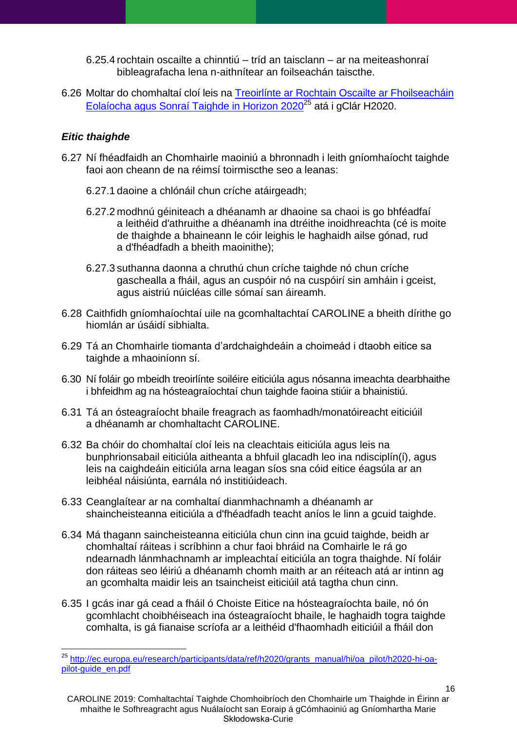6.25.4 rochtain oscailte a chinntiú – tríd an taisclann – ar na meiteashonraí bibleagrafacha lena n-aithnítear an foilseachán taiscthe.

6.26 Moltar do chomhaltaí cloí leis na [Treoirlínte ar Rochtain Oscailte ar Fhoilseacháin](http://ec.europa.eu/research/participants/data/ref/h2020/grants_manual/hi/oa_pilot/h2020-hi-oa-pilot-guide_en.pdf)  [Eolaíocha agus Sonraí Taighde in Horizon 2020](http://ec.europa.eu/research/participants/data/ref/h2020/grants_manual/hi/oa_pilot/h2020-hi-oa-pilot-guide_en.pdf)<sup>25</sup> atá i gClár H2020.

## <span id="page-15-0"></span>*Eitic thaighde*

- 6.27 Ní fhéadfaidh an Chomhairle maoiniú a bhronnadh i leith gníomhaíocht taighde faoi aon cheann de na réimsí toirmiscthe seo a leanas:
	- 6.27.1 daoine a chlónáil chun críche atáirgeadh;
	- 6.27.2 modhnú géiniteach a dhéanamh ar dhaoine sa chaoi is go bhféadfaí a leithéid d'athruithe a dhéanamh ina dtréithe inoidhreachta (cé is moite de thaighde a bhaineann le cóir leighis le haghaidh ailse gónad, rud a d'fhéadfadh a bheith maoinithe);
	- 6.27.3 suthanna daonna a chruthú chun críche taighde nó chun críche gaschealla a fháil, agus an cuspóir nó na cuspóirí sin amháin i gceist, agus aistriú núicléas cille sómaí san áireamh.
- 6.28 Caithfidh gníomhaíochtaí uile na gcomhaltachtaí CAROLINE a bheith dírithe go hiomlán ar úsáidí sibhialta.
- 6.29 Tá an Chomhairle tiomanta d'ardchaighdeáin a choimeád i dtaobh eitice sa taighde a mhaoiníonn sí.
- 6.30 Ní foláir go mbeidh treoirlínte soiléire eiticiúla agus nósanna imeachta dearbhaithe i bhfeidhm ag na hósteagraíochtaí chun taighde faoina stiúir a bhainistiú.
- 6.31 Tá an ósteagraíocht bhaile freagrach as faomhadh/monatóireacht eiticiúil a dhéanamh ar chomhaltacht CAROLINE.
- 6.32 Ba chóir do chomhaltaí cloí leis na cleachtais eiticiúla agus leis na bunphrionsabail eiticiúla aitheanta a bhfuil glacadh leo ina ndisciplín(í), agus leis na caighdeáin eiticiúla arna leagan síos sna cóid eitice éagsúla ar an leibhéal náisiúnta, earnála nó institiúideach.
- 6.33 Ceanglaítear ar na comhaltaí dianmhachnamh a dhéanamh ar shaincheisteanna eiticiúla a d'fhéadfadh teacht aníos le linn a gcuid taighde.
- 6.34 Má thagann saincheisteanna eiticiúla chun cinn ina gcuid taighde, beidh ar chomhaltaí ráiteas i scríbhinn a chur faoi bhráid na Comhairle le rá go ndearnadh lánmhachnamh ar impleachtaí eiticiúla an togra thaighde. Ní foláir don ráiteas seo léiriú a dhéanamh chomh maith ar an réiteach atá ar intinn ag an gcomhalta maidir leis an tsaincheist eiticiúil atá tagtha chun cinn.
- 6.35 I gcás inar gá cead a fháil ó Choiste Eitice na hósteagraíochta baile, nó ón gcomhlacht choibhéiseach ina ósteagraíocht bhaile, le haghaidh togra taighde comhalta, is gá fianaise scríofa ar a leithéid d'fhaomhadh eiticiúil a fháil don

 $\overline{a}$ <sup>25</sup> [http://ec.europa.eu/research/participants/data/ref/h2020/grants\\_manual/hi/oa\\_pilot/h2020-hi-oa](http://ec.europa.eu/research/participants/data/ref/h2020/grants_manual/hi/oa_pilot/h2020-hi-oa-pilot-guide_en.pdf)[pilot-guide\\_en.pdf](http://ec.europa.eu/research/participants/data/ref/h2020/grants_manual/hi/oa_pilot/h2020-hi-oa-pilot-guide_en.pdf)

CAROLINE 2019: Comhaltachtaí Taighde Chomhoibríoch den Chomhairle um Thaighde in Éirinn ar mhaithe le Sofhreagracht agus Nuálaíocht san Eoraip á gCómhaoiniú ag Gníomhartha Marie Skłodowska-Curie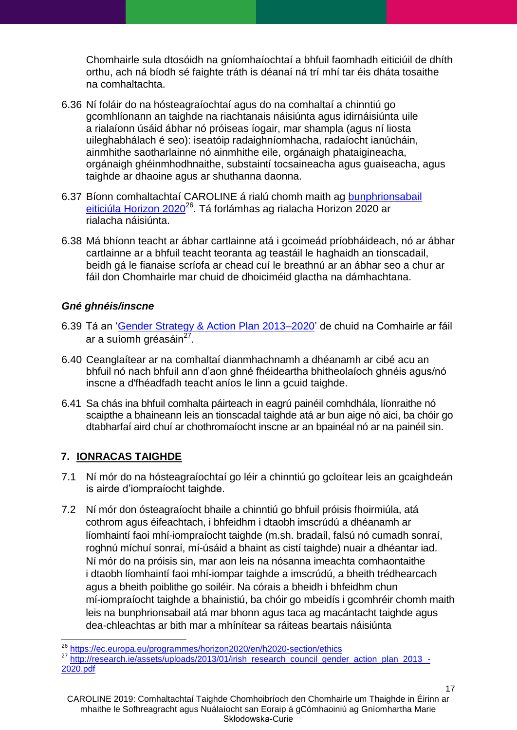Chomhairle sula dtosóidh na gníomhaíochtaí a bhfuil faomhadh eiticiúil de dhíth orthu, ach ná bíodh sé faighte tráth is déanaí ná trí mhí tar éis dháta tosaithe na comhaltachta.

- 6.36 Ní foláir do na hósteagraíochtaí agus do na comhaltaí a chinntiú go gcomhlíonann an taighde na riachtanais náisiúnta agus idirnáisiúnta uile a rialaíonn úsáid ábhar nó próiseas íogair, mar shampla (agus ní liosta uileghabhálach é seo): iseatóip radaighníomhacha, radaíocht ianúcháin, ainmhithe saotharlainne nó ainmhithe eile, orgánaigh phataigineacha, orgánaigh ghéinmhodhnaithe, substaintí tocsaineacha agus guaiseacha, agus taighde ar dhaoine agus ar shuthanna daonna.
- 6.37 Bíonn comhaltachtaí CAROLINE á rialú chomh maith ag [bunphrionsabail](https://ec.europa.eu/programmes/horizon2020/en/h2020-section/ethics)  [eiticiúla Horizon 2020](https://ec.europa.eu/programmes/horizon2020/en/h2020-section/ethics)<sup>26</sup>. Tá forlámhas ag rialacha Horizon 2020 ar rialacha náisiúnta.
- 6.38 Má bhíonn teacht ar ábhar cartlainne atá i gcoimeád príobháideach, nó ar ábhar cartlainne ar a bhfuil teacht teoranta ag teastáil le haghaidh an tionscadail, beidh gá le fianaise scríofa ar chead cuí le breathnú ar an ábhar seo a chur ar fáil don Chomhairle mar chuid de dhoiciméid glactha na dámhachtana.

## <span id="page-16-0"></span>*Gné ghnéis/inscne*

- 6.39 Tá an 'Gender Strategy & Action Plan 2013-2020' de chuid na Comhairle ar fáil ar a suíomh gréasáin<sup>27</sup>.
- 6.40 Ceanglaítear ar na comhaltaí dianmhachnamh a dhéanamh ar cibé acu an bhfuil nó nach bhfuil ann d'aon ghné fhéideartha bhitheolaíoch ghnéis agus/nó inscne a d'fhéadfadh teacht aníos le linn a gcuid taighde.
- 6.41 Sa chás ina bhfuil comhalta páirteach in eagrú painéil comhdhála, líonraithe nó scaipthe a bhaineann leis an tionscadal taighde atá ar bun aige nó aici, ba chóir go dtabharfaí aird chuí ar chothromaíocht inscne ar an bpainéal nó ar na painéil sin.

## <span id="page-16-1"></span>**7. IONRACAS TAIGHDE**

- 7.1 Ní mór do na hósteagraíochtaí go léir a chinntiú go gcloítear leis an gcaighdeán is airde d'iompraíocht taighde.
- 7.2 Ní mór don ósteagraíocht bhaile a chinntiú go bhfuil próisis fhoirmiúla, atá cothrom agus éifeachtach, i bhfeidhm i dtaobh imscrúdú a dhéanamh ar líomhaintí faoi mhí-iompraíocht taighde (m.sh. bradaíl, falsú nó cumadh sonraí, roghnú míchuí sonraí, mí-úsáid a bhaint as cistí taighde) nuair a dhéantar iad. Ní mór do na próisis sin, mar aon leis na nósanna imeachta comhaontaithe i dtaobh líomhaintí faoi mhí-iompar taighde a imscrúdú, a bheith trédhearcach agus a bheith poiblithe go soiléir. Na córais a bheidh i bhfeidhm chun mí-iompraíocht taighde a bhainistiú, ba chóir go mbeidís i gcomhréir chomh maith leis na bunphrionsabail atá mar bhonn agus taca ag macántacht taighde agus dea-chleachtas ar bith mar a mhínítear sa ráiteas beartais náisiúnta

 $\overline{a}$ <sup>26</sup> <https://ec.europa.eu/programmes/horizon2020/en/h2020-section/ethics>

<sup>27</sup> [http://research.ie/assets/uploads/2013/01/irish\\_research\\_council\\_gender\\_action\\_plan\\_2013\\_-](http://research.ie/assets/uploads/2013/01/irish_research_council_gender_action_plan_2013_-2020.pdf) [2020.pdf](http://research.ie/assets/uploads/2013/01/irish_research_council_gender_action_plan_2013_-2020.pdf)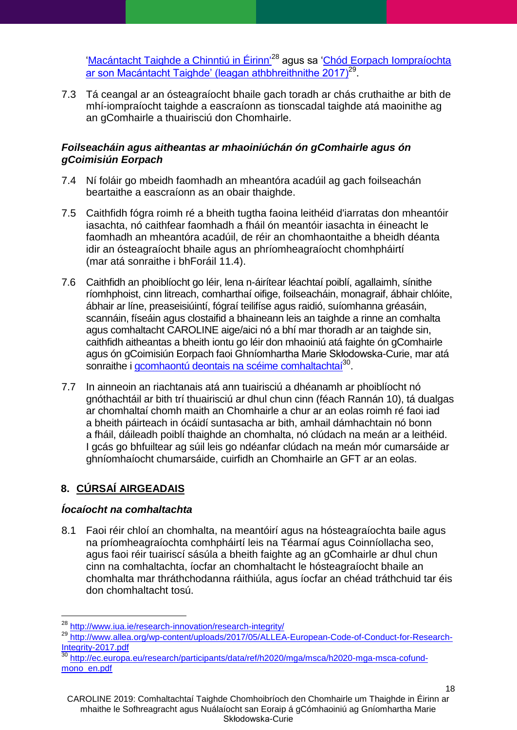'Macántacht Taighde a Chinntiú in Éirinn<sup>'28</sup> agus sa 'Chód Eorpach Iompraíochta <u>[ar son Macántacht Taighde' \(leagan athbhreithnithe 2017\)](http://www.allea.org/wp-content/uploads/2017/05/ALLEA-European-Code-of-Conduct-for-Research-Integrity-2017.pdf)<sup>29</sup>.</u>

7.3 Tá ceangal ar an ósteagraíocht bhaile gach toradh ar chás cruthaithe ar bith de mhí-iompraíocht taighde a eascraíonn as tionscadal taighde atá maoinithe ag an gComhairle a thuairisciú don Chomhairle.

### <span id="page-17-0"></span>*Foilseacháin agus aitheantas ar mhaoiniúchán ón gComhairle agus ón gCoimisiún Eorpach*

- 7.4 Ní foláir go mbeidh faomhadh an mheantóra acadúil ag gach foilseachán beartaithe a eascraíonn as an obair thaighde.
- 7.5 Caithfidh fógra roimh ré a bheith tugtha faoina leithéid d'iarratas don mheantóir iasachta, nó caithfear faomhadh a fháil ón meantóir iasachta in éineacht le faomhadh an mheantóra acadúil, de réir an chomhaontaithe a bheidh déanta idir an ósteagraíocht bhaile agus an phríomheagraíocht chomhpháirtí (mar atá sonraithe i bhForáil [11.4\)](#page-23-1).
- 7.6 Caithfidh an phoiblíocht go léir, lena n-áirítear léachtaí poiblí, agallaimh, sínithe ríomhphoist, cinn litreach, comharthaí oifige, foilseacháin, monagraif, ábhair chlóite, ábhair ar líne, preaseisiúintí, fógraí teilifíse agus raidió, suíomhanna gréasáin, scannáin, físeáin agus clostaifid a bhaineann leis an taighde a rinne an comhalta agus comhaltacht CAROLINE aige/aici nó a bhí mar thoradh ar an taighde sin, caithfidh aitheantas a bheith iontu go léir don mhaoiniú atá faighte ón gComhairle agus ón gCoimisiún Eorpach faoi Ghníomhartha Marie Skłodowska-Curie, mar atá sonraithe i [gcomhaontú deontais na scéime comhaltachtaí](http://ec.europa.eu/research/participants/data/ref/h2020/mga/msca/h2020-mga-msca-cofund-mono_en.pdf)<sup>30</sup>.
- 7.7 In ainneoin an riachtanais atá ann tuairisciú a dhéanamh ar phoiblíocht nó gnóthachtáil ar bith trí thuairisciú ar dhul chun cinn (féach Rannán 10), tá dualgas ar chomhaltaí chomh maith an Chomhairle a chur ar an eolas roimh ré faoi iad a bheith páirteach in ócáidí suntasacha ar bith, amhail dámhachtain nó bonn a fháil, dáileadh poiblí thaighde an chomhalta, nó clúdach na meán ar a leithéid. I gcás go bhfuiltear ag súil leis go ndéanfar clúdach na meán mór cumarsáide ar ghníomhaíocht chumarsáide, cuirfidh an Chomhairle an GFT ar an eolas.

# <span id="page-17-1"></span>**8. CÚRSAÍ AIRGEADAIS**

 $\overline{a}$ 

## <span id="page-17-2"></span>*Íocaíocht na comhaltachta*

8.1 Faoi réir chloí an chomhalta, na meantóirí agus na hósteagraíochta baile agus na príomheagraíochta comhpháirtí leis na Téarmaí agus Coinníollacha seo, agus faoi réir tuairiscí sásúla a bheith faighte ag an gComhairle ar dhul chun cinn na comhaltachta, íocfar an chomhaltacht le hósteagraíocht bhaile an chomhalta mar thráthchodanna ráithiúla, agus íocfar an chéad tráthchuid tar éis don chomhaltacht tosú.

<sup>28</sup> <http://www.iua.ie/research-innovation/research-integrity/>

<sup>29</sup> http://www.allea.org/wp-content/uploads/2017/05/ALLEA-European-Code-of-Conduct-for-Research-Integrity-2017.pdf

<sup>&</sup>lt;sup>30</sup> [http://ec.europa.eu/research/participants/data/ref/h2020/mga/msca/h2020-mga-msca-cofund](http://ec.europa.eu/research/participants/data/ref/h2020/mga/msca/h2020-mga-msca-cofund-mono_en.pdf)[mono\\_en.pdf](http://ec.europa.eu/research/participants/data/ref/h2020/mga/msca/h2020-mga-msca-cofund-mono_en.pdf)

CAROLINE 2019: Comhaltachtaí Taighde Chomhoibríoch den Chomhairle um Thaighde in Éirinn ar mhaithe le Sofhreagracht agus Nuálaíocht san Eoraip á gCómhaoiniú ag Gníomhartha Marie Skłodowska-Curie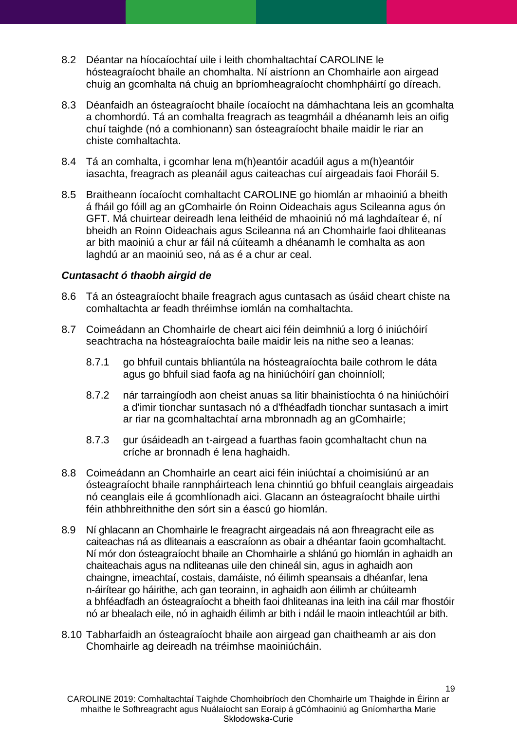- 8.2 Déantar na híocaíochtaí uile i leith chomhaltachtaí CAROLINE le hósteagraíocht bhaile an chomhalta. Ní aistríonn an Chomhairle aon airgead chuig an gcomhalta ná chuig an bpríomheagraíocht chomhpháirtí go díreach.
- 8.3 Déanfaidh an ósteagraíocht bhaile íocaíocht na dámhachtana leis an gcomhalta a chomhordú. Tá an comhalta freagrach as teagmháil a dhéanamh leis an oifig chuí taighde (nó a comhionann) san ósteagraíocht bhaile maidir le riar an chiste comhaltachta.
- 8.4 Tá an comhalta, i gcomhar lena m(h)eantóir acadúil agus a m(h)eantóir iasachta, freagrach as pleanáil agus caiteachas cuí airgeadais faoi Fhoráil [5.](#page-9-0)
- 8.5 Braitheann íocaíocht comhaltacht CAROLINE go hiomlán ar mhaoiniú a bheith á fháil go fóill ag an gComhairle ón Roinn Oideachais agus Scileanna agus ón GFT. Má chuirtear deireadh lena leithéid de mhaoiniú nó má laghdaítear é, ní bheidh an Roinn Oideachais agus Scileanna ná an Chomhairle faoi dhliteanas ar bith maoiniú a chur ar fáil ná cúiteamh a dhéanamh le comhalta as aon laghdú ar an maoiniú seo, ná as é a chur ar ceal.

#### <span id="page-18-0"></span>*Cuntasacht ó thaobh airgid de*

- 8.6 Tá an ósteagraíocht bhaile freagrach agus cuntasach as úsáid cheart chiste na comhaltachta ar feadh thréimhse iomlán na comhaltachta.
- 8.7 Coimeádann an Chomhairle de cheart aici féin deimhniú a lorg ó iniúchóirí seachtracha na hósteagraíochta baile maidir leis na nithe seo a leanas:
	- 8.7.1 go bhfuil cuntais bhliantúla na hósteagraíochta baile cothrom le dáta agus go bhfuil siad faofa ag na hiniúchóirí gan choinníoll;
	- 8.7.2 nár tarraingíodh aon cheist anuas sa litir bhainistíochta ó na hiniúchóirí a d'imir tionchar suntasach nó a d'fhéadfadh tionchar suntasach a imirt ar riar na gcomhaltachtaí arna mbronnadh ag an gComhairle;
	- 8.7.3 gur úsáideadh an t-airgead a fuarthas faoin gcomhaltacht chun na críche ar bronnadh é lena haghaidh.
- 8.8 Coimeádann an Chomhairle an ceart aici féin iniúchtaí a choimisiúnú ar an ósteagraíocht bhaile rannpháirteach lena chinntiú go bhfuil ceanglais airgeadais nó ceanglais eile á gcomhlíonadh aici. Glacann an ósteagraíocht bhaile uirthi féin athbhreithnithe den sórt sin a éascú go hiomlán.
- 8.9 Ní ghlacann an Chomhairle le freagracht airgeadais ná aon fhreagracht eile as caiteachas ná as dliteanais a eascraíonn as obair a dhéantar faoin gcomhaltacht. Ní mór don ósteagraíocht bhaile an Chomhairle a shlánú go hiomlán in aghaidh an chaiteachais agus na ndliteanas uile den chineál sin, agus in aghaidh aon chaingne, imeachtaí, costais, damáiste, nó éilimh speansais a dhéanfar, lena n-áirítear go háirithe, ach gan teorainn, in aghaidh aon éilimh ar chúiteamh a bhféadfadh an ósteagraíocht a bheith faoi dhliteanas ina leith ina cáil mar fhostóir nó ar bhealach eile, nó in aghaidh éilimh ar bith i ndáil le maoin intleachtúil ar bith.
- 8.10 Tabharfaidh an ósteagraíocht bhaile aon airgead gan chaitheamh ar ais don Chomhairle ag deireadh na tréimhse maoiniúcháin.

CAROLINE 2019: Comhaltachtaí Taighde Chomhoibríoch den Chomhairle um Thaighde in Éirinn ar mhaithe le Sofhreagracht agus Nuálaíocht san Eoraip á gCómhaoiniú ag Gníomhartha Marie Skłodowska-Curie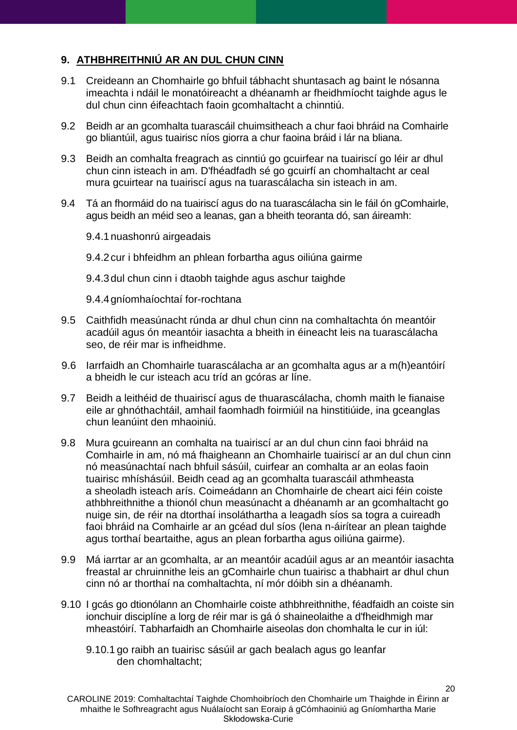# <span id="page-19-0"></span>**9. ATHBHREITHNIÚ AR AN DUL CHUN CINN**

- 9.1 Creideann an Chomhairle go bhfuil tábhacht shuntasach ag baint le nósanna imeachta i ndáil le monatóireacht a dhéanamh ar fheidhmíocht taighde agus le dul chun cinn éifeachtach faoin gcomhaltacht a chinntiú.
- 9.2 Beidh ar an gcomhalta tuarascáil chuimsitheach a chur faoi bhráid na Comhairle go bliantúil, agus tuairisc níos giorra a chur faoina bráid i lár na bliana.
- 9.3 Beidh an comhalta freagrach as cinntiú go gcuirfear na tuairiscí go léir ar dhul chun cinn isteach in am. D'fhéadfadh sé go gcuirfí an chomhaltacht ar ceal mura gcuirtear na tuairiscí agus na tuarascálacha sin isteach in am.
- 9.4 Tá an fhormáid do na tuairiscí agus do na tuarascálacha sin le fáil ón gComhairle, agus beidh an méid seo a leanas, gan a bheith teoranta dó, san áireamh:

9.4.1nuashonrú airgeadais

9.4.2cur i bhfeidhm an phlean forbartha agus oiliúna gairme

9.4.3dul chun cinn i dtaobh taighde agus aschur taighde

9.4.4gníomhaíochtaí for-rochtana

- 9.5 Caithfidh measúnacht rúnda ar dhul chun cinn na comhaltachta ón meantóir acadúil agus ón meantóir iasachta a bheith in éineacht leis na tuarascálacha seo, de réir mar is infheidhme.
- 9.6 Iarrfaidh an Chomhairle tuarascálacha ar an gcomhalta agus ar a m(h)eantóirí a bheidh le cur isteach acu tríd an gcóras ar líne.
- 9.7 Beidh a leithéid de thuairiscí agus de thuarascálacha, chomh maith le fianaise eile ar ghnóthachtáil, amhail faomhadh foirmiúil na hinstitiúide, ina gceanglas chun leanúint den mhaoiniú.
- 9.8 Mura gcuireann an comhalta na tuairiscí ar an dul chun cinn faoi bhráid na Comhairle in am, nó má fhaigheann an Chomhairle tuairiscí ar an dul chun cinn nó measúnachtaí nach bhfuil sásúil, cuirfear an comhalta ar an eolas faoin tuairisc mhíshásúil. Beidh cead ag an gcomhalta tuarascáil athmheasta a sheoladh isteach arís. Coimeádann an Chomhairle de cheart aici féin coiste athbhreithnithe a thionól chun measúnacht a dhéanamh ar an gcomhaltacht go nuige sin, de réir na dtorthaí insoláthartha a leagadh síos sa togra a cuireadh faoi bhráid na Comhairle ar an gcéad dul síos (lena n-áirítear an plean taighde agus torthaí beartaithe, agus an plean forbartha agus oiliúna gairme).
- 9.9 Má iarrtar ar an gcomhalta, ar an meantóir acadúil agus ar an meantóir iasachta freastal ar chruinnithe leis an gComhairle chun tuairisc a thabhairt ar dhul chun cinn nó ar thorthaí na comhaltachta, ní mór dóibh sin a dhéanamh.
- 9.10 I gcás go dtionólann an Chomhairle coiste athbhreithnithe, féadfaidh an coiste sin ionchuir disciplíne a lorg de réir mar is gá ó shaineolaithe a d'fheidhmigh mar mheastóirí. Tabharfaidh an Chomhairle aiseolas don chomhalta le cur in iúl:
	- 9.10.1 go raibh an tuairisc sásúil ar gach bealach agus go leanfar den chomhaltacht;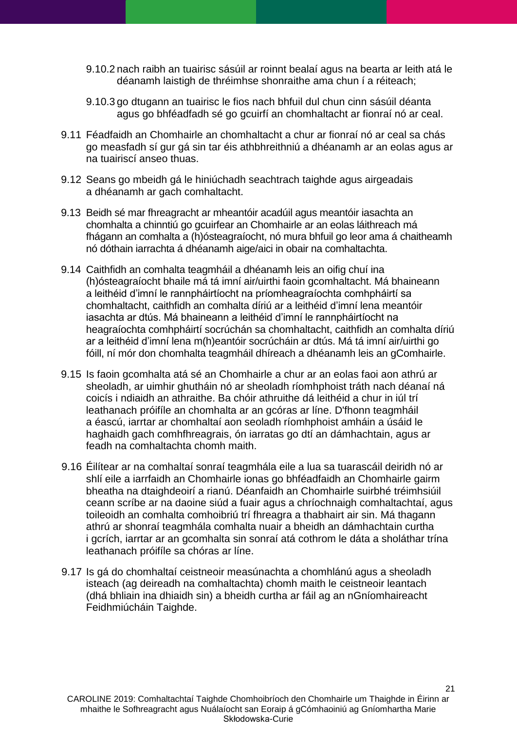- 9.10.2 nach raibh an tuairisc sásúil ar roinnt bealaí agus na bearta ar leith atá le déanamh laistigh de thréimhse shonraithe ama chun í a réiteach;
- 9.10.3 go dtugann an tuairisc le fios nach bhfuil dul chun cinn sásúil déanta agus go bhféadfadh sé go gcuirfí an chomhaltacht ar fionraí nó ar ceal.
- 9.11 Féadfaidh an Chomhairle an chomhaltacht a chur ar fionraí nó ar ceal sa chás go measfadh sí gur gá sin tar éis athbhreithniú a dhéanamh ar an eolas agus ar na tuairiscí anseo thuas.
- 9.12 Seans go mbeidh gá le hiniúchadh seachtrach taighde agus airgeadais a dhéanamh ar gach comhaltacht.
- 9.13 Beidh sé mar fhreagracht ar mheantóir acadúil agus meantóir iasachta an chomhalta a chinntiú go gcuirfear an Chomhairle ar an eolas láithreach má fhágann an comhalta a (h)ósteagraíocht, nó mura bhfuil go leor ama á chaitheamh nó dóthain iarrachta á dhéanamh aige/aici in obair na comhaltachta.
- 9.14 Caithfidh an comhalta teagmháil a dhéanamh leis an oifig chuí ina (h)ósteagraíocht bhaile má tá imní air/uirthi faoin gcomhaltacht. Má bhaineann a leithéid d'imní le rannpháirtíocht na príomheagraíochta comhpháirtí sa chomhaltacht, caithfidh an comhalta díriú ar a leithéid d'imní lena meantóir iasachta ar dtús. Má bhaineann a leithéid d'imní le rannpháirtíocht na heagraíochta comhpháirtí socrúchán sa chomhaltacht, caithfidh an comhalta díriú ar a leithéid d'imní lena m(h)eantóir socrúcháin ar dtús. Má tá imní air/uirthi go fóill, ní mór don chomhalta teagmháil dhíreach a dhéanamh leis an gComhairle.
- 9.15 Is faoin gcomhalta atá sé an Chomhairle a chur ar an eolas faoi aon athrú ar sheoladh, ar uimhir ghutháin nó ar sheoladh ríomhphoist tráth nach déanaí ná coicís i ndiaidh an athraithe. Ba chóir athruithe dá leithéid a chur in iúl trí leathanach próifíle an chomhalta ar an gcóras ar líne. D'fhonn teagmháil a éascú, iarrtar ar chomhaltaí aon seoladh ríomhphoist amháin a úsáid le haghaidh gach comhfhreagrais, ón iarratas go dtí an dámhachtain, agus ar feadh na comhaltachta chomh maith.
- 9.16 Éilítear ar na comhaltaí sonraí teagmhála eile a lua sa tuarascáil deiridh nó ar shlí eile a iarrfaidh an Chomhairle ionas go bhféadfaidh an Chomhairle gairm bheatha na dtaighdeoirí a rianú. Déanfaidh an Chomhairle suirbhé tréimhsiúil ceann scríbe ar na daoine siúd a fuair agus a chríochnaigh comhaltachtaí, agus toileoidh an comhalta comhoibriú trí fhreagra a thabhairt air sin. Má thagann athrú ar shonraí teagmhála comhalta nuair a bheidh an dámhachtain curtha i gcrích, iarrtar ar an gcomhalta sin sonraí atá cothrom le dáta a sholáthar trína leathanach próifíle sa chóras ar líne.
- 9.17 Is gá do chomhaltaí ceistneoir measúnachta a chomhlánú agus a sheoladh isteach (ag deireadh na comhaltachta) chomh maith le ceistneoir leantach (dhá bhliain ina dhiaidh sin) a bheidh curtha ar fáil ag an nGníomhaireacht Feidhmiúcháin Taighde.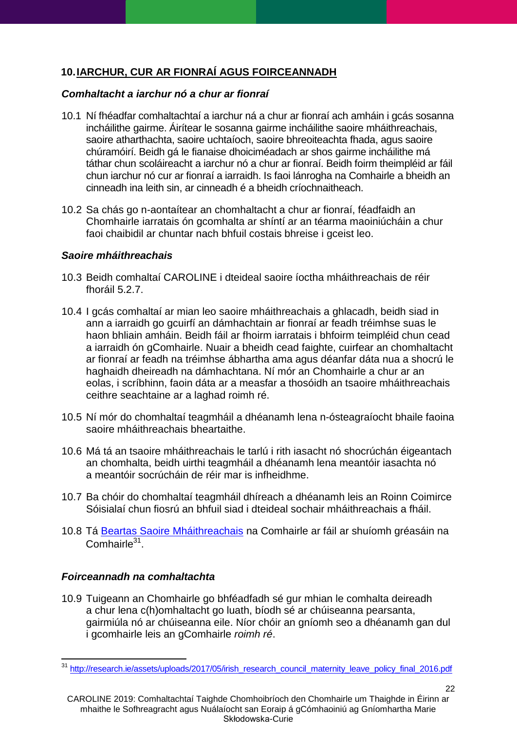# <span id="page-21-0"></span>**10.IARCHUR, CUR AR FIONRAÍ AGUS FOIRCEANNADH**

## <span id="page-21-1"></span>*Comhaltacht a iarchur nó a chur ar fionraí*

- 10.1 Ní fhéadfar comhaltachtaí a iarchur ná a chur ar fionraí ach amháin i gcás sosanna incháilithe gairme. Áirítear le sosanna gairme incháilithe saoire mháithreachais, saoire atharthachta, saoire uchtaíoch, saoire bhreoiteachta fhada, agus saoire chúramóirí. Beidh gá le fianaise dhoiciméadach ar shos gairme incháilithe má táthar chun scoláireacht a iarchur nó a chur ar fionraí. Beidh foirm theimpléid ar fáil chun iarchur nó cur ar fionraí a iarraidh. Is faoi lánrogha na Comhairle a bheidh an cinneadh ina leith sin, ar cinneadh é a bheidh críochnaitheach.
- 10.2 Sa chás go n-aontaítear an chomhaltacht a chur ar fionraí, féadfaidh an Chomhairle iarratais ón gcomhalta ar shíntí ar an téarma maoiniúcháin a chur faoi chaibidil ar chuntar nach bhfuil costais bhreise i gceist leo.

## <span id="page-21-2"></span>*Saoire mháithreachais*

- 10.3 Beidh comhaltaí CAROLINE i dteideal saoire íoctha mháithreachais de réir fhoráil [5.2.7.](#page-10-1)
- 10.4 I gcás comhaltaí ar mian leo saoire mháithreachais a ghlacadh, beidh siad in ann a iarraidh go gcuirfí an dámhachtain ar fionraí ar feadh tréimhse suas le haon bhliain amháin. Beidh fáil ar fhoirm iarratais i bhfoirm teimpléid chun cead a iarraidh ón gComhairle. Nuair a bheidh cead faighte, cuirfear an chomhaltacht ar fionraí ar feadh na tréimhse ábhartha ama agus déanfar dáta nua a shocrú le haghaidh dheireadh na dámhachtana. Ní mór an Chomhairle a chur ar an eolas, i scríbhinn, faoin dáta ar a measfar a thosóidh an tsaoire mháithreachais ceithre seachtaine ar a laghad roimh ré.
- 10.5 Ní mór do chomhaltaí teagmháil a dhéanamh lena n-ósteagraíocht bhaile faoina saoire mháithreachais bheartaithe.
- 10.6 Má tá an tsaoire mháithreachais le tarlú i rith iasacht nó shocrúchán éigeantach an chomhalta, beidh uirthi teagmháil a dhéanamh lena meantóir iasachta nó a meantóir socrúcháin de réir mar is infheidhme.
- 10.7 Ba chóir do chomhaltaí teagmháil dhíreach a dhéanamh leis an Roinn Coimirce Sóisialaí chun fiosrú an bhfuil siad i dteideal sochair mháithreachais a fháil.
- 10.8 Tá [Beartas Saoire Mháithreachais](http://research.ie/assets/uploads/2017/05/irish_research_council_maternity_leave_policy_final_2016.pdf) na Comhairle ar fáil ar shuíomh gréasáin na Comhairle<sup>31</sup>.

# <span id="page-21-3"></span>*Foirceannadh na comhaltachta*

10.9 Tuigeann an Chomhairle go bhféadfadh sé gur mhian le comhalta deireadh a chur lena c(h)omhaltacht go luath, bíodh sé ar chúiseanna pearsanta, gairmiúla nó ar chúiseanna eile. Níor chóir an gníomh seo a dhéanamh gan dul i gcomhairle leis an gComhairle *roimh ré*.

22

 $\overline{a}$ <sup>31</sup> [http://research.ie/assets/uploads/2017/05/irish\\_research\\_council\\_maternity\\_leave\\_policy\\_final\\_2016.pdf](http://research.ie/assets/uploads/2017/05/irish_research_council_maternity_leave_policy_final_2016.pdf)

CAROLINE 2019: Comhaltachtaí Taighde Chomhoibríoch den Chomhairle um Thaighde in Éirinn ar mhaithe le Sofhreagracht agus Nuálaíocht san Eoraip á gCómhaoiniú ag Gníomhartha Marie Skłodowska-Curie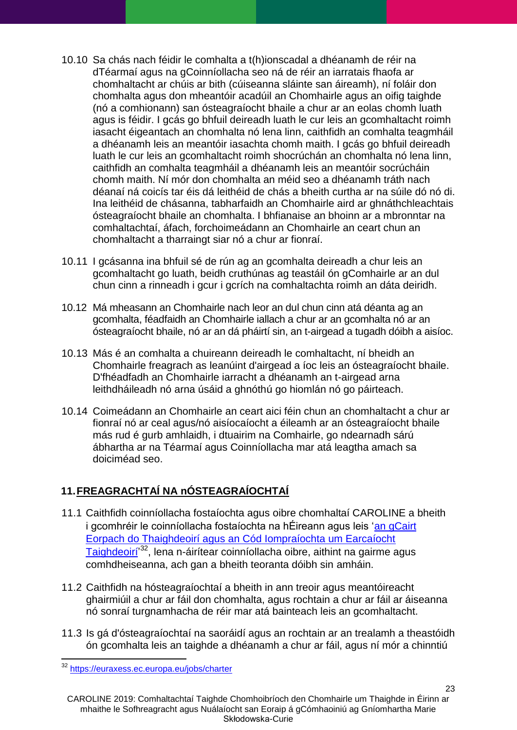- 10.10 Sa chás nach féidir le comhalta a t(h)ionscadal a dhéanamh de réir na dTéarmaí agus na gCoinníollacha seo ná de réir an iarratais fhaofa ar chomhaltacht ar chúis ar bith (cúiseanna sláinte san áireamh), ní foláir don chomhalta agus don mheantóir acadúil an Chomhairle agus an oifig taighde (nó a comhionann) san ósteagraíocht bhaile a chur ar an eolas chomh luath agus is féidir. I gcás go bhfuil deireadh luath le cur leis an gcomhaltacht roimh iasacht éigeantach an chomhalta nó lena linn, caithfidh an comhalta teagmháil a dhéanamh leis an meantóir iasachta chomh maith. I gcás go bhfuil deireadh luath le cur leis an gcomhaltacht roimh shocrúchán an chomhalta nó lena linn, caithfidh an comhalta teagmháil a dhéanamh leis an meantóir socrúcháin chomh maith. Ní mór don chomhalta an méid seo a dhéanamh tráth nach déanaí ná coicís tar éis dá leithéid de chás a bheith curtha ar na súile dó nó di. Ina leithéid de chásanna, tabharfaidh an Chomhairle aird ar ghnáthchleachtais ósteagraíocht bhaile an chomhalta. I bhfianaise an bhoinn ar a mbronntar na comhaltachtaí, áfach, forchoimeádann an Chomhairle an ceart chun an chomhaltacht a tharraingt siar nó a chur ar fionraí.
- 10.11 I gcásanna ina bhfuil sé de rún ag an gcomhalta deireadh a chur leis an gcomhaltacht go luath, beidh cruthúnas ag teastáil ón gComhairle ar an dul chun cinn a rinneadh i gcur i gcrích na comhaltachta roimh an dáta deiridh.
- 10.12 Má mheasann an Chomhairle nach leor an dul chun cinn atá déanta ag an gcomhalta, féadfaidh an Chomhairle iallach a chur ar an gcomhalta nó ar an ósteagraíocht bhaile, nó ar an dá pháirtí sin, an t-airgead a tugadh dóibh a aisíoc.
- 10.13 Más é an comhalta a chuireann deireadh le comhaltacht, ní bheidh an Chomhairle freagrach as leanúint d'airgead a íoc leis an ósteagraíocht bhaile. D'fhéadfadh an Chomhairle iarracht a dhéanamh an t-airgead arna leithdháileadh nó arna úsáid a ghnóthú go hiomlán nó go páirteach.
- 10.14 Coimeádann an Chomhairle an ceart aici féin chun an chomhaltacht a chur ar fionraí nó ar ceal agus/nó aisíocaíocht a éileamh ar an ósteagraíocht bhaile más rud é gurb amhlaidh, i dtuairim na Comhairle, go ndearnadh sárú ábhartha ar na Téarmaí agus Coinníollacha mar atá leagtha amach sa doiciméad seo.

# <span id="page-22-0"></span>**11.FREAGRACHTAÍ NA nÓSTEAGRAÍOCHTAÍ**

- 11.1 Caithfidh coinníollacha fostaíochta agus oibre chomhaltaí CAROLINE a bheith i gcomhréir le coinníollacha fostaíochta na hÉireann agus leis ['an gCairt](https://euraxess.ec.europa.eu/jobs/charter)  [Eorpach do Thaighdeoirí agus an Cód Iompraíochta um Earcaíocht](https://euraxess.ec.europa.eu/jobs/charter)  Taighdeoirí<sup>'32</sup>, lena n-áirítear coinníollacha oibre, aithint na gairme agus comhdheiseanna, ach gan a bheith teoranta dóibh sin amháin.
- 11.2 Caithfidh na hósteagraíochtaí a bheith in ann treoir agus meantóireacht ghairmiúil a chur ar fáil don chomhalta, agus rochtain a chur ar fáil ar áiseanna nó sonraí turgnamhacha de réir mar atá bainteach leis an gcomhaltacht.
- 11.3 Is gá d'ósteagraíochtaí na saoráidí agus an rochtain ar an trealamh a theastóidh ón gcomhalta leis an taighde a dhéanamh a chur ar fáil, agus ní mór a chinntiú

 $\overline{a}$ <sup>32</sup> <https://euraxess.ec.europa.eu/jobs/charter>

CAROLINE 2019: Comhaltachtaí Taighde Chomhoibríoch den Chomhairle um Thaighde in Éirinn ar mhaithe le Sofhreagracht agus Nuálaíocht san Eoraip á gCómhaoiniú ag Gníomhartha Marie Skłodowska-Curie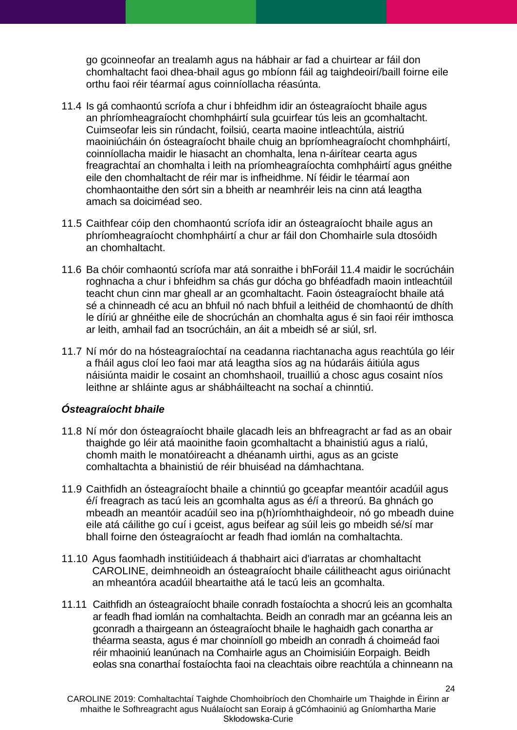go gcoinneofar an trealamh agus na hábhair ar fad a chuirtear ar fáil don chomhaltacht faoi dhea-bhail agus go mbíonn fáil ag taighdeoirí/baill foirne eile orthu faoi réir téarmaí agus coinníollacha réasúnta.

- <span id="page-23-1"></span>11.4 Is gá comhaontú scríofa a chur i bhfeidhm idir an ósteagraíocht bhaile agus an phríomheagraíocht chomhpháirtí sula gcuirfear tús leis an gcomhaltacht. Cuimseofar leis sin rúndacht, foilsiú, cearta maoine intleachtúla, aistriú maoiniúcháin ón ósteagraíocht bhaile chuig an bpríomheagraíocht chomhpháirtí, coinníollacha maidir le hiasacht an chomhalta, lena n-áirítear cearta agus freagrachtaí an chomhalta i leith na príomheagraíochta comhpháirtí agus gnéithe eile den chomhaltacht de réir mar is infheidhme. Ní féidir le téarmaí aon chomhaontaithe den sórt sin a bheith ar neamhréir leis na cinn atá leagtha amach sa doiciméad seo.
- 11.5 Caithfear cóip den chomhaontú scríofa idir an ósteagraíocht bhaile agus an phríomheagraíocht chomhpháirtí a chur ar fáil don Chomhairle sula dtosóidh an chomhaltacht.
- 11.6 Ba chóir comhaontú scríofa mar atá sonraithe i bhForáil [11.4](#page-23-1) maidir le socrúcháin roghnacha a chur i bhfeidhm sa chás gur dócha go bhféadfadh maoin intleachtúil teacht chun cinn mar gheall ar an gcomhaltacht. Faoin ósteagraíocht bhaile atá sé a chinneadh cé acu an bhfuil nó nach bhfuil a leithéid de chomhaontú de dhíth le díriú ar ghnéithe eile de shocrúchán an chomhalta agus é sin faoi réir imthosca ar leith, amhail fad an tsocrúcháin, an áit a mbeidh sé ar siúl, srl.
- 11.7 Ní mór do na hósteagraíochtaí na ceadanna riachtanacha agus reachtúla go léir a fháil agus cloí leo faoi mar atá leagtha síos ag na húdaráis áitiúla agus náisiúnta maidir le cosaint an chomhshaoil, truailliú a chosc agus cosaint níos leithne ar shláinte agus ar shábháilteacht na sochaí a chinntiú.

## <span id="page-23-0"></span>*Ósteagraíocht bhaile*

- 11.8 Ní mór don ósteagraíocht bhaile glacadh leis an bhfreagracht ar fad as an obair thaighde go léir atá maoinithe faoin gcomhaltacht a bhainistiú agus a rialú, chomh maith le monatóireacht a dhéanamh uirthi, agus as an gciste comhaltachta a bhainistiú de réir bhuiséad na dámhachtana.
- 11.9 Caithfidh an ósteagraíocht bhaile a chinntiú go gceapfar meantóir acadúil agus é/í freagrach as tacú leis an gcomhalta agus as é/í a threorú. Ba ghnách go mbeadh an meantóir acadúil seo ina p(h)ríomhthaighdeoir, nó go mbeadh duine eile atá cáilithe go cuí i gceist, agus beifear ag súil leis go mbeidh sé/sí mar bhall foirne den ósteagraíocht ar feadh fhad iomlán na comhaltachta.
- 11.10 Agus faomhadh institiúideach á thabhairt aici d'iarratas ar chomhaltacht CAROLINE, deimhneoidh an ósteagraíocht bhaile cáilitheacht agus oiriúnacht an mheantóra acadúil bheartaithe atá le tacú leis an gcomhalta.
- 11.11 Caithfidh an ósteagraíocht bhaile conradh fostaíochta a shocrú leis an gcomhalta ar feadh fhad iomlán na comhaltachta. Beidh an conradh mar an gcéanna leis an gconradh a thairgeann an ósteagraíocht bhaile le haghaidh gach conartha ar théarma seasta, agus é mar choinníoll go mbeidh an conradh á choimeád faoi réir mhaoiniú leanúnach na Comhairle agus an Choimisiúin Eorpaigh. Beidh eolas sna conarthaí fostaíochta faoi na cleachtais oibre reachtúla a chinneann na

24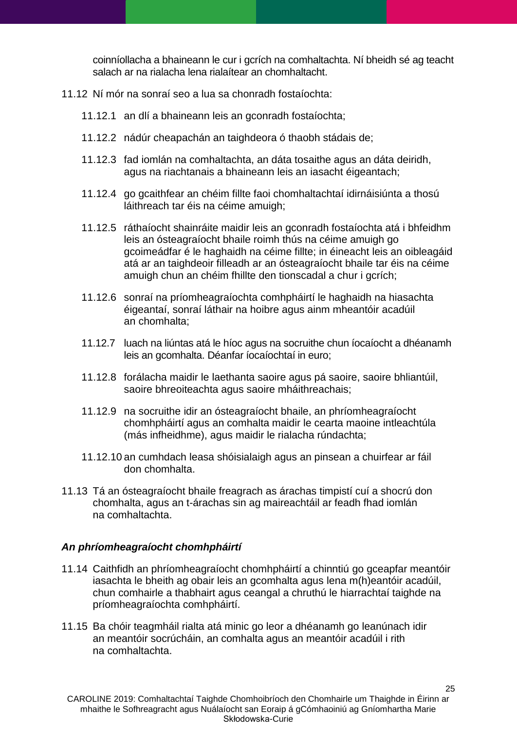coinníollacha a bhaineann le cur i gcrích na comhaltachta. Ní bheidh sé ag teacht salach ar na rialacha lena rialaítear an chomhaltacht.

- 11.12 Ní mór na sonraí seo a lua sa chonradh fostaíochta:
	- 11.12.1 an dlí a bhaineann leis an gconradh fostaíochta;
	- 11.12.2 nádúr cheapachán an taighdeora ó thaobh stádais de;
	- 11.12.3 fad iomlán na comhaltachta, an dáta tosaithe agus an dáta deiridh, agus na riachtanais a bhaineann leis an iasacht éigeantach;
	- 11.12.4 go gcaithfear an chéim fillte faoi chomhaltachtaí idirnáisiúnta a thosú láithreach tar éis na céime amuigh;
	- 11.12.5 ráthaíocht shainráite maidir leis an gconradh fostaíochta atá i bhfeidhm leis an ósteagraíocht bhaile roimh thús na céime amuigh go gcoimeádfar é le haghaidh na céime fillte; in éineacht leis an oibleagáid atá ar an taighdeoir filleadh ar an ósteagraíocht bhaile tar éis na céime amuigh chun an chéim fhillte den tionscadal a chur i gcrích;
	- 11.12.6 sonraí na príomheagraíochta comhpháirtí le haghaidh na hiasachta éigeantaí, sonraí láthair na hoibre agus ainm mheantóir acadúil an chomhalta;
	- 11.12.7 luach na liúntas atá le híoc agus na socruithe chun íocaíocht a dhéanamh leis an gcomhalta. Déanfar íocaíochtaí in euro;
	- 11.12.8 forálacha maidir le laethanta saoire agus pá saoire, saoire bhliantúil, saoire bhreoiteachta agus saoire mháithreachais;
	- 11.12.9 na socruithe idir an ósteagraíocht bhaile, an phríomheagraíocht chomhpháirtí agus an comhalta maidir le cearta maoine intleachtúla (más infheidhme), agus maidir le rialacha rúndachta;
	- 11.12.10 an cumhdach leasa shóisialaigh agus an pinsean a chuirfear ar fáil don chomhalta.
- 11.13 Tá an ósteagraíocht bhaile freagrach as árachas timpistí cuí a shocrú don chomhalta, agus an t-árachas sin ag maireachtáil ar feadh fhad iomlán na comhaltachta.

#### <span id="page-24-0"></span>*An phríomheagraíocht chomhpháirtí*

- 11.14 Caithfidh an phríomheagraíocht chomhpháirtí a chinntiú go gceapfar meantóir iasachta le bheith ag obair leis an gcomhalta agus lena m(h)eantóir acadúil, chun comhairle a thabhairt agus ceangal a chruthú le hiarrachtaí taighde na príomheagraíochta comhpháirtí.
- 11.15 Ba chóir teagmháil rialta atá minic go leor a dhéanamh go leanúnach idir an meantóir socrúcháin, an comhalta agus an meantóir acadúil i rith na comhaltachta.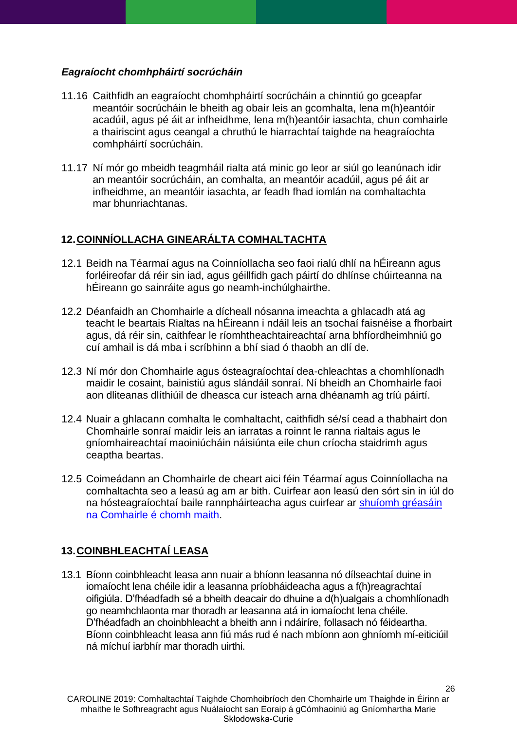### <span id="page-25-0"></span>*Eagraíocht chomhpháirtí socrúcháin*

- 11.16 Caithfidh an eagraíocht chomhpháirtí socrúcháin a chinntiú go gceapfar meantóir socrúcháin le bheith ag obair leis an gcomhalta, lena m(h)eantóir acadúil, agus pé áit ar infheidhme, lena m(h)eantóir iasachta, chun comhairle a thairiscint agus ceangal a chruthú le hiarrachtaí taighde na heagraíochta comhpháirtí socrúcháin.
- 11.17 Ní mór go mbeidh teagmháil rialta atá minic go leor ar siúl go leanúnach idir an meantóir socrúcháin, an comhalta, an meantóir acadúil, agus pé áit ar infheidhme, an meantóir iasachta, ar feadh fhad iomlán na comhaltachta mar bhunriachtanas.

# <span id="page-25-1"></span>**12.COINNÍOLLACHA GINEARÁLTA COMHALTACHTA**

- 12.1 Beidh na Téarmaí agus na Coinníollacha seo faoi rialú dhlí na hÉireann agus forléireofar dá réir sin iad, agus géillfidh gach páirtí do dhlínse chúirteanna na hÉireann go sainráite agus go neamh-inchúlghairthe.
- 12.2 Déanfaidh an Chomhairle a dícheall nósanna imeachta a ghlacadh atá ag teacht le beartais Rialtas na hÉireann i ndáil leis an tsochaí faisnéise a fhorbairt agus, dá réir sin, caithfear le ríomhtheachtaireachtaí arna bhfíordheimhniú go cuí amhail is dá mba i scríbhinn a bhí siad ó thaobh an dlí de.
- 12.3 Ní mór don Chomhairle agus ósteagraíochtaí dea-chleachtas a chomhlíonadh maidir le cosaint, bainistiú agus slándáil sonraí. Ní bheidh an Chomhairle faoi aon dliteanas dlíthiúil de dheasca cur isteach arna dhéanamh ag tríú páirtí.
- 12.4 Nuair a ghlacann comhalta le comhaltacht, caithfidh sé/sí cead a thabhairt don Chomhairle sonraí maidir leis an iarratas a roinnt le ranna rialtais agus le gníomhaireachtaí maoiniúcháin náisiúnta eile chun críocha staidrimh agus ceaptha beartas.
- 12.5 Coimeádann an Chomhairle de cheart aici féin Téarmaí agus Coinníollacha na comhaltachta seo a leasú ag am ar bith. Cuirfear aon leasú den sórt sin in iúl do na hósteagraíochtaí baile rannpháirteacha agus cuirfear ar [shuíomh gréasáin](http://www.research.ie/funding/caroline)  [na Comhairle é](http://www.research.ie/funding/caroline) chomh maith.

# <span id="page-25-2"></span>**13.COINBHLEACHTAÍ LEASA**

13.1 Bíonn coinbhleacht leasa ann nuair a bhíonn leasanna nó dílseachtaí duine in iomaíocht lena chéile idir a leasanna príobháideacha agus a f(h)reagrachtaí oifigiúla. D'fhéadfadh sé a bheith deacair do dhuine a d(h)ualgais a chomhlíonadh go neamhchlaonta mar thoradh ar leasanna atá in iomaíocht lena chéile. D'fhéadfadh an choinbhleacht a bheith ann i ndáiríre, follasach nó féideartha. Bíonn coinbhleacht leasa ann fiú más rud é nach mbíonn aon ghníomh mí-eiticiúil ná míchuí iarbhír mar thoradh uirthi.